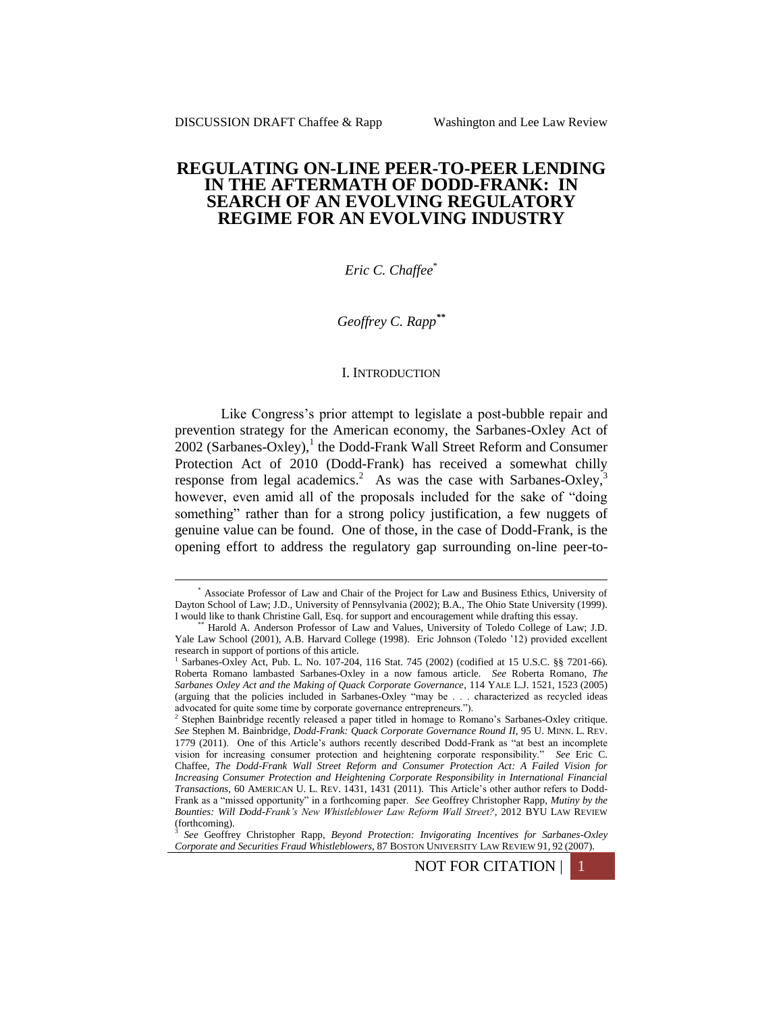1

# **REGULATING ON-LINE PEER-TO-PEER LENDING IN THE AFTERMATH OF DODD-FRANK: IN SEARCH OF AN EVOLVING REGULATORY REGIME FOR AN EVOLVING INDUSTRY**

*Eric C. Chaffee*\*

*Geoffrey C. Rapp\*\**

#### I. INTRODUCTION

Like Congress's prior attempt to legislate a post-bubble repair and prevention strategy for the American economy, the Sarbanes-Oxley Act of  $2002$  (Sarbanes-Oxley),<sup>1</sup> the Dodd-Frank Wall Street Reform and Consumer Protection Act of 2010 (Dodd-Frank) has received a somewhat chilly response from legal academics.<sup>2</sup> As was the case with Sarbanes-Oxley,<sup>3</sup> however, even amid all of the proposals included for the sake of "doing something" rather than for a strong policy justification, a few nuggets of genuine value can be found. One of those, in the case of Dodd-Frank, is the opening effort to address the regulatory gap surrounding on-line peer-to-

NOT FOR CITATION

<sup>\*</sup> Associate Professor of Law and Chair of the Project for Law and Business Ethics, University of Dayton School of Law; J.D., University of Pennsylvania (2002); B.A., The Ohio State University (1999). I would like to thank Christine Gall, Esq. for support and encouragement while drafting this essay.

<sup>\*\*</sup> Harold A. Anderson Professor of Law and Values, University of Toledo College of Law; J.D. Yale Law School (2001), A.B. Harvard College (1998). Eric Johnson (Toledo '12) provided excellent research in support of portions of this article.

<sup>1</sup> Sarbanes-Oxley Act, Pub. L. No. 107-204, 116 Stat. 745 (2002) (codified at 15 U.S.C. §§ 7201-66). Roberta Romano lambasted Sarbanes-Oxley in a now famous article. *See* Roberta Romano, *The Sarbanes Oxley Act and the Making of Quack Corporate Governance*, 114 YALE L.J. 1521, 1523 (2005) (arguing that the policies included in Sarbanes-Oxley "may be . . . characterized as recycled ideas advocated for quite some time by corporate governance entrepreneurs."). 2 Stephen Bainbridge recently released a paper titled in homage to Romano's Sarbanes-Oxley critique.

*See* Stephen M. Bainbridge, *Dodd-Frank: Quack Corporate Governance Round II*, 95 U. MINN. L. REV. 1779 (2011). One of this Article's authors recently described Dodd-Frank as "at best an incomplete vision for increasing consumer protection and heightening corporate responsibility." *See* Eric C. Chaffee, *The Dodd-Frank Wall Street Reform and Consumer Protection Act: A Failed Vision for Increasing Consumer Protection and Heightening Corporate Responsibility in International Financial Transactions*, 60 AMERICAN U. L. REV. 1431, 1431 (2011). This Article's other author refers to Dodd-Frank as a "missed opportunity" in a forthcoming paper. *See* Geoffrey Christopher Rapp, *Mutiny by the Bounties: Will Dodd-Frank's New Whistleblower Law Reform Wall Street?*, 2012 BYU LAW REVIEW (forthcoming).

<sup>3</sup> *See* Geoffrey Christopher Rapp, *Beyond Protection: Invigorating Incentives for Sarbanes-Oxley Corporate and Securities Fraud Whistleblowers*, 87 BOSTON UNIVERSITY LAW REVIEW 91, 92 (2007).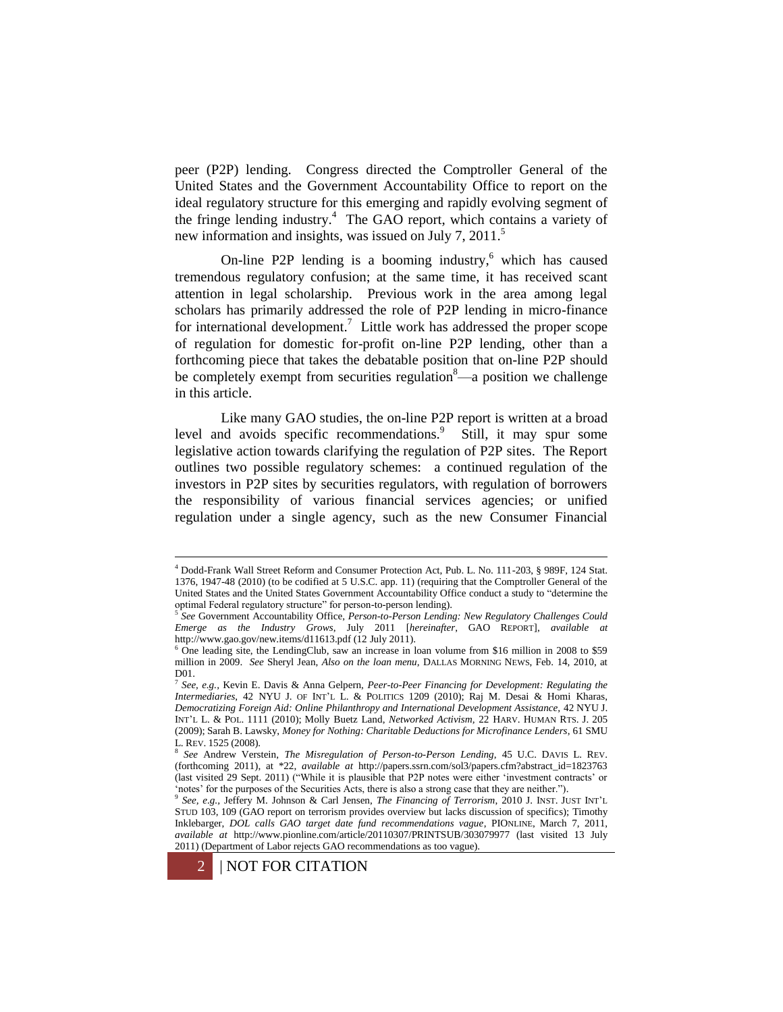peer (P2P) lending. Congress directed the Comptroller General of the United States and the Government Accountability Office to report on the ideal regulatory structure for this emerging and rapidly evolving segment of the fringe lending industry.<sup>4</sup> The GAO report, which contains a variety of new information and insights, was issued on July 7, 2011.<sup>5</sup>

<span id="page-1-0"></span>On-line P2P lending is a booming industry, <sup>6</sup> which has caused tremendous regulatory confusion; at the same time, it has received scant attention in legal scholarship. Previous work in the area among legal scholars has primarily addressed the role of P2P lending in micro-finance for international development.<sup>7</sup> Little work has addressed the proper scope of regulation for domestic for-profit on-line P2P lending, other than a forthcoming piece that takes the debatable position that on-line P2P should be completely exempt from securities regulation $\delta$ —a position we challenge in this article.

<span id="page-1-1"></span>Like many GAO studies, the on-line P2P report is written at a broad level and avoids specific recommendations.<sup>9</sup> Still, it may spur some legislative action towards clarifying the regulation of P2P sites. The Report outlines two possible regulatory schemes: a continued regulation of the investors in P2P sites by securities regulators, with regulation of borrowers the responsibility of various financial services agencies; or unified regulation under a single agency, such as the new Consumer Financial

<sup>9</sup> *See, e.g.,* Jeffery M. Johnson & Carl Jensen, *The Financing of Terrorism*, 2010 J. INST. JUST INT'L STUD 103, 109 (GAO report on terrorism provides overview but lacks discussion of specifics); Timothy Inklebarger, *DOL calls GAO target date fund recommendations vague*, PIONLINE, March 7, 2011, *available at* http://www.pionline.com/article/20110307/PRINTSUB/303079977 (last visited 13 July 2011) (Department of Labor rejects GAO recommendations as too vague).



<sup>4</sup> Dodd-Frank Wall Street Reform and Consumer Protection Act, Pub. L. No. 111-203, § 989F, 124 Stat. 1376, 1947-48 (2010) (to be codified at 5 U.S.C. app. 11) (requiring that the Comptroller General of the United States and the United States Government Accountability Office conduct a study to "determine the optimal Federal regulatory structure" for person-to-person lending).<br><sup>5</sup> See Government Accountability Office, Berson to Berson Landin

*See* Government Accountability Office, *Person-to-Person Lending: New Regulatory Challenges Could Emerge as the Industry Grows*, July 2011 [*hereinafter*, GAO REPORT], *available at*  http://www.gao.gov/new.items/d11613.pdf (12 July 2011).

<sup>6</sup> One leading site, the LendingClub, saw an increase in loan volume from \$16 million in 2008 to \$59 million in 2009. *See* Sheryl Jean, *Also on the loan menu,* DALLAS MORNING NEWS, Feb. 14, 2010, at D01.

<sup>7</sup> *See, e.g.,* Kevin E. Davis & Anna Gelpern, *Peer-to-Peer Financing for Development: Regulating the Intermediaries*, 42 NYU J. OF INT'L L. & POLITICS 1209 (2010); Raj M. Desai & Homi Kharas, *Democratizing Foreign Aid: Online Philanthropy and International Development Assistance,* 42 NYU J. INT'L L. & POL. 1111 (2010); Molly Buetz Land, *Networked Activism,* 22 HARV. HUMAN RTS. J. 205 (2009); Sarah B. Lawsky, *Money for Nothing: Charitable Deductions for Microfinance Lenders*, 61 SMU L. REV. 1525 (2008). 8 *See* Andrew Verstein, *The Misregulation of Person-to-Person Lending*, 45 U.C. DAVIS L. REV.

<sup>(</sup>forthcoming 2011), at \*22, *available at* http://papers.ssrn.com/sol3/papers.cfm?abstract\_id=1823763 (last visited 29 Sept. 2011) ("While it is plausible that P2P notes were either 'investment contracts' or 'notes' for the purposes of the Securities Acts, there is also a strong case that they are neither.").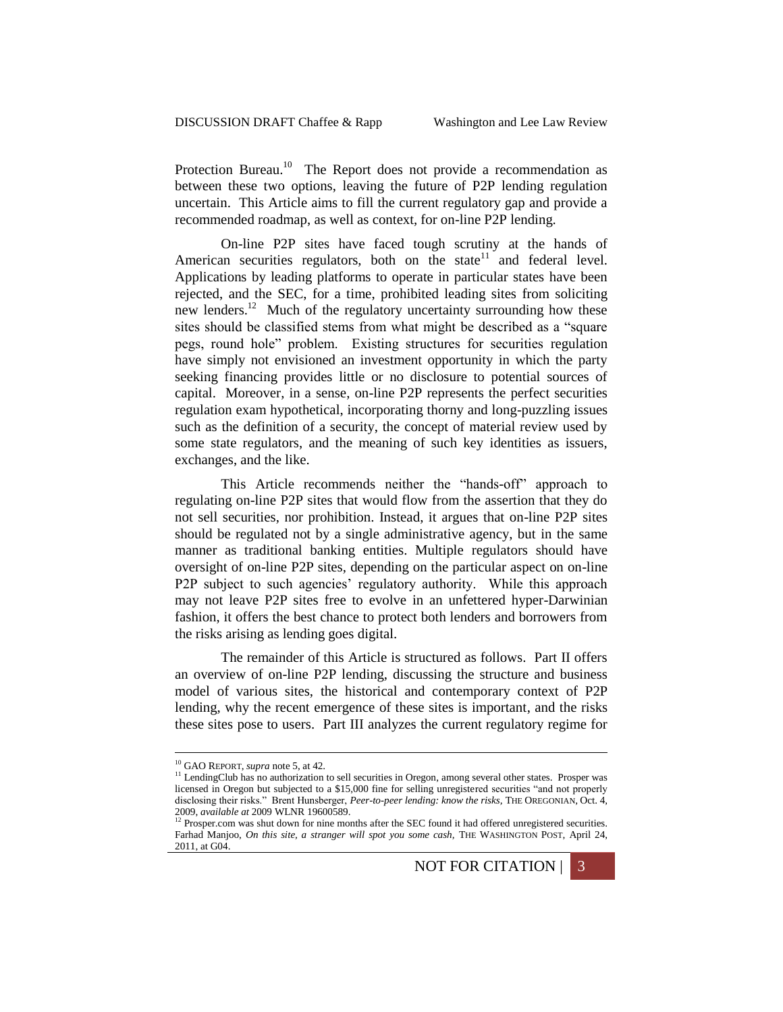Protection Bureau.<sup>10</sup> The Report does not provide a recommendation as between these two options, leaving the future of P2P lending regulation uncertain. This Article aims to fill the current regulatory gap and provide a recommended roadmap, as well as context, for on-line P2P lending.

<span id="page-2-1"></span><span id="page-2-0"></span>On-line P2P sites have faced tough scrutiny at the hands of American securities regulators, both on the state $11$  and federal level. Applications by leading platforms to operate in particular states have been rejected, and the SEC, for a time, prohibited leading sites from soliciting new lenders.<sup>12</sup> Much of the regulatory uncertainty surrounding how these sites should be classified stems from what might be described as a "square pegs, round hole" problem. Existing structures for securities regulation have simply not envisioned an investment opportunity in which the party seeking financing provides little or no disclosure to potential sources of capital. Moreover, in a sense, on-line P2P represents the perfect securities regulation exam hypothetical, incorporating thorny and long-puzzling issues such as the definition of a security, the concept of material review used by some state regulators, and the meaning of such key identities as issuers, exchanges, and the like.

This Article recommends neither the "hands-off" approach to regulating on-line P2P sites that would flow from the assertion that they do not sell securities, nor prohibition. Instead, it argues that on-line P2P sites should be regulated not by a single administrative agency, but in the same manner as traditional banking entities. Multiple regulators should have oversight of on-line P2P sites, depending on the particular aspect on on-line P2P subject to such agencies' regulatory authority. While this approach may not leave P2P sites free to evolve in an unfettered hyper-Darwinian fashion, it offers the best chance to protect both lenders and borrowers from the risks arising as lending goes digital.

The remainder of this Article is structured as follows. Part II offers an overview of on-line P2P lending, discussing the structure and business model of various sites, the historical and contemporary context of P2P lending, why the recent emergence of these sites is important, and the risks these sites pose to users. Part III analyzes the current regulatory regime for

<sup>10</sup> GAO REPORT, *supra* note [5,](#page-1-0) at 42.

<sup>&</sup>lt;sup>11</sup> LendingClub has no authorization to sell securities in Oregon, among several other states. Prosper was licensed in Oregon but subjected to a \$15,000 fine for selling unregistered securities "and not properly disclosing their risks." Brent Hunsberger, *Peer-to-peer lending: know the risks,* THE OREGONIAN, Oct. 4, 2009, *available at* 2009 WLNR 19600589. <sup>12</sup> Prosper.com was shut down for nine months after the SEC found it had offered unregistered securities.

Farhad Manjoo, On this site, a stranger will spot you some cash, THE WASHINGTON POST, April 24, 2011, at G04.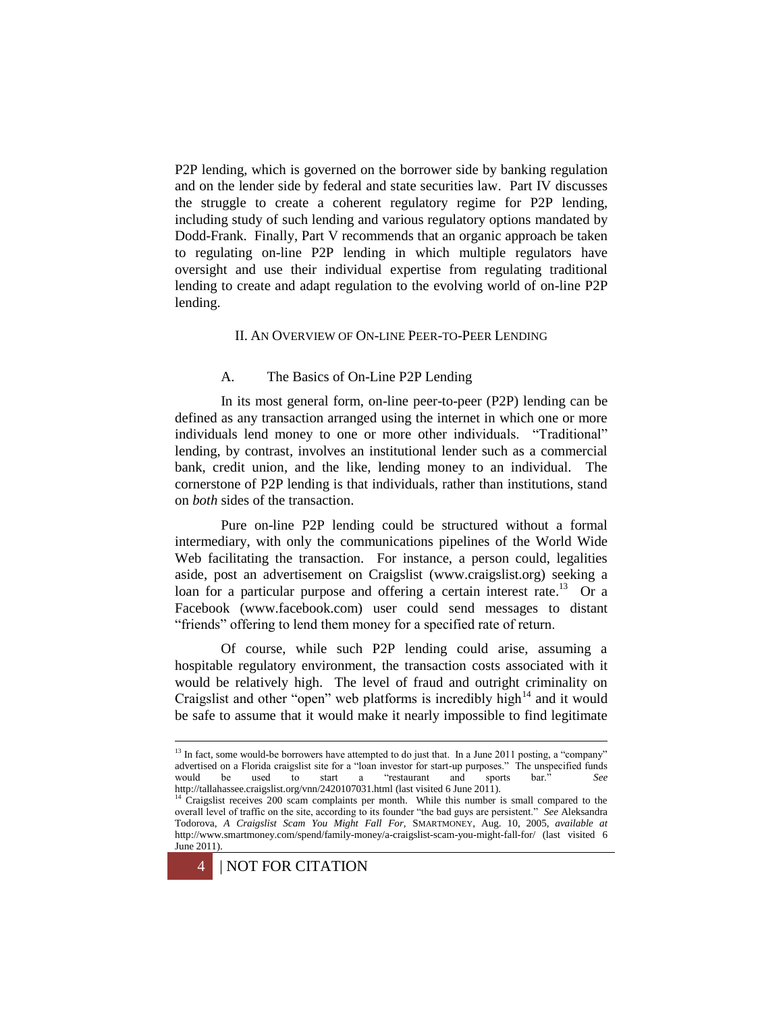P2P lending, which is governed on the borrower side by banking regulation and on the lender side by federal and state securities law. Part IV discusses the struggle to create a coherent regulatory regime for P2P lending, including study of such lending and various regulatory options mandated by Dodd-Frank. Finally, Part V recommends that an organic approach be taken to regulating on-line P2P lending in which multiple regulators have oversight and use their individual expertise from regulating traditional lending to create and adapt regulation to the evolving world of on-line P2P lending.

### II. AN OVERVIEW OF ON-LINE PEER-TO-PEER LENDING

#### A. The Basics of On-Line P2P Lending

In its most general form, on-line peer-to-peer (P2P) lending can be defined as any transaction arranged using the internet in which one or more individuals lend money to one or more other individuals. "Traditional" lending, by contrast, involves an institutional lender such as a commercial bank, credit union, and the like, lending money to an individual. The cornerstone of P2P lending is that individuals, rather than institutions, stand on *both* sides of the transaction.

Pure on-line P2P lending could be structured without a formal intermediary, with only the communications pipelines of the World Wide Web facilitating the transaction. For instance, a person could, legalities aside, post an advertisement on Craigslist (www.craigslist.org) seeking a loan for a particular purpose and offering a certain interest rate.<sup>13</sup> Or a Facebook (www.facebook.com) user could send messages to distant "friends" offering to lend them money for a specified rate of return.

Of course, while such P2P lending could arise, assuming a hospitable regulatory environment, the transaction costs associated with it would be relatively high. The level of fraud and outright criminality on Craigslist and other "open" web platforms is incredibly high $14$  and it would be safe to assume that it would make it nearly impossible to find legitimate

<sup>&</sup>lt;sup>14</sup> Craigslist receives 200 scam complaints per month. While this number is small compared to the overall level of traffic on the site, according to its founder "the bad guys are persistent." *See* Aleksandra Todorova, *A Craigslist Scam You Might Fall For,* SMARTMONEY, Aug. 10, 2005, *available at*  http://www.smartmoney.com/spend/family-money/a-craigslist-scam-you-might-fall-for/ (last visited 6 June 2011).



<sup>&</sup>lt;sup>13</sup> In fact, some would-be borrowers have attempted to do just that. In a June 2011 posting, a "company" advertised on a Florida craigslist site for a "loan investor for start-up purposes." The unspecified funds would be used to start a "restaurant and sports bar." *See*  http://tallahassee.craigslist.org/vnn/2420107031.html (last visited 6 June 2011).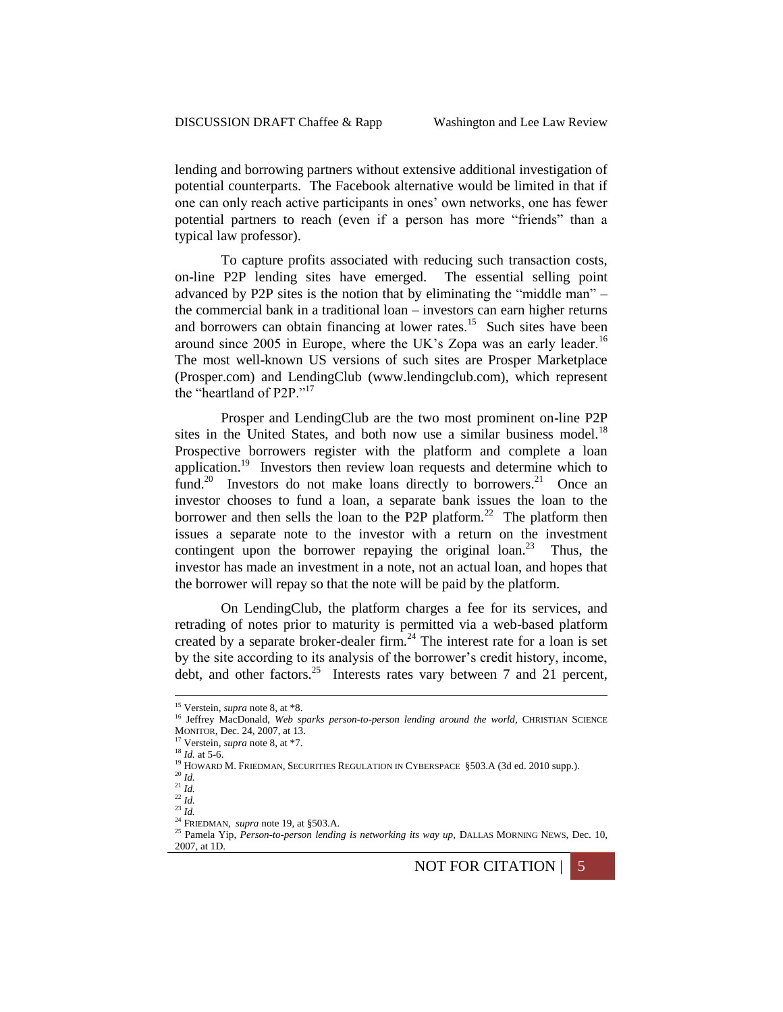lending and borrowing partners without extensive additional investigation of potential counterparts. The Facebook alternative would be limited in that if one can only reach active participants in ones' own networks, one has fewer potential partners to reach (even if a person has more "friends" than a typical law professor).

To capture profits associated with reducing such transaction costs, on-line P2P lending sites have emerged. The essential selling point advanced by P2P sites is the notion that by eliminating the "middle man" – the commercial bank in a traditional loan – investors can earn higher returns and borrowers can obtain financing at lower rates.<sup>15</sup> Such sites have been around since 2005 in Europe, where the UK's Zopa was an early leader.<sup>16</sup> The most well-known US versions of such sites are Prosper Marketplace (Prosper.com) and LendingClub (www.lendingclub.com), which represent the "heartland of P2P."<sup>17</sup>

<span id="page-4-1"></span><span id="page-4-0"></span>Prosper and LendingClub are the two most prominent on-line P2P sites in the United States, and both now use a similar business model.<sup>18</sup> Prospective borrowers register with the platform and complete a loan application.<sup>19</sup> Investors then review loan requests and determine which to fund.<sup>20</sup> Investors do not make loans directly to borrowers.<sup>21</sup> Once an investor chooses to fund a loan, a separate bank issues the loan to the borrower and then sells the loan to the P2P platform.<sup>22</sup> The platform then issues a separate note to the investor with a return on the investment contingent upon the borrower repaying the original  $\text{loan.}^{23}$  Thus, the investor has made an investment in a note, not an actual loan, and hopes that the borrower will repay so that the note will be paid by the platform.

<span id="page-4-2"></span>On LendingClub, the platform charges a fee for its services, and retrading of notes prior to maturity is permitted via a web-based platform created by a separate broker-dealer firm.<sup>24</sup> The interest rate for a loan is set by the site according to its analysis of the borrower's credit history, income, debt, and other factors.<sup>25</sup> Interests rates vary between 7 and 21 percent,

<sup>15</sup> Verstein, *supra* not[e 8,](#page-1-1) at \*8.

<sup>&</sup>lt;sup>16</sup> Jeffrey MacDonald, Web sparks person-to-person lending around the world, CHRISTIAN SCIENCE MONITOR, Dec. 24, 2007, at 13.

Verstein, *supra* not[e 8,](#page-1-1) at \*7.

<sup>18</sup> *Id.* at 5-6.

<sup>&</sup>lt;sup>19</sup> HOWARD M. FRIEDMAN, SECURITIES REGULATION IN CYBERSPACE §503.A (3d ed. 2010 supp.).

<sup>20</sup> *Id.*

 $^{21}$  *Id.* 

 $\frac{22}{1}$  *Id.* 

<sup>23</sup> *Id.*

<sup>24</sup> FRIEDMAN, *supra* not[e 19,](#page-4-0) at §503.A.

<sup>&</sup>lt;sup>25</sup> Pamela Yip, *Person-to-person lending is networking its way up*, DALLAS MORNING NEWS, Dec. 10, 2007, at 1D.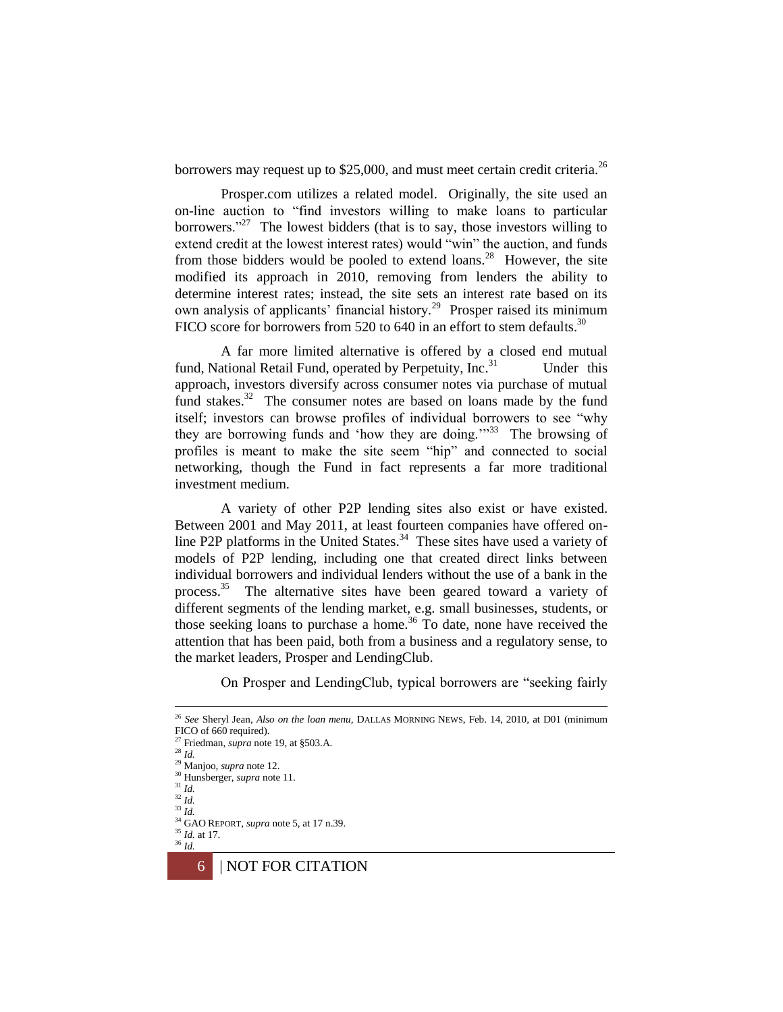borrowers may request up to \$25,000, and must meet certain credit criteria.<sup>26</sup>

Prosper.com utilizes a related model. Originally, the site used an on-line auction to "find investors willing to make loans to particular borrowers."<sup>27</sup> The lowest bidders (that is to say, those investors willing to extend credit at the lowest interest rates) would "win" the auction, and funds from those bidders would be pooled to extend loans.<sup>28</sup> However, the site modified its approach in 2010, removing from lenders the ability to determine interest rates; instead, the site sets an interest rate based on its own analysis of applicants' financial history.<sup>29</sup> Prosper raised its minimum FICO score for borrowers from 520 to 640 in an effort to stem defaults.<sup>30</sup>

A far more limited alternative is offered by a closed end mutual fund, National Retail Fund, operated by Perpetuity, Inc.<sup>31</sup> Under this approach, investors diversify across consumer notes via purchase of mutual fund stakes.<sup>32</sup> The consumer notes are based on loans made by the fund itself; investors can browse profiles of individual borrowers to see "why they are borrowing funds and 'how they are doing.'"<sup>33</sup> The browsing of profiles is meant to make the site seem "hip" and connected to social networking, though the Fund in fact represents a far more traditional investment medium.

A variety of other P2P lending sites also exist or have existed. Between 2001 and May 2011, at least fourteen companies have offered online P2P platforms in the United States. $34$  These sites have used a variety of models of P2P lending, including one that created direct links between individual borrowers and individual lenders without the use of a bank in the process.<sup>35</sup> The alternative sites have been geared toward a variety of different segments of the lending market, e.g. small businesses, students, or those seeking loans to purchase a home.<sup>36</sup> To date, none have received the attention that has been paid, both from a business and a regulatory sense, to the market leaders, Prosper and LendingClub.

On Prosper and LendingClub, typical borrowers are "seeking fairly

1

<sup>33</sup> *Id.*

<sup>26</sup> *See* Sheryl Jean, *Also on the loan menu,* DALLAS MORNING NEWS, Feb. 14, 2010, at D01 (minimum FICO of 660 required).

<sup>27</sup> Friedman, *supra* not[e 19,](#page-4-0) at §503.A.

<sup>28</sup> *Id.*

<sup>29</sup> Manjoo, *supra* not[e 12.](#page-2-0) <sup>30</sup> Hunsberger, *supra* not[e 11.](#page-2-1)

<sup>31</sup> *Id.*

<sup>32</sup> *Id.*

<sup>34</sup> GAO REPORT, *supra* note 5, at 17 n.39. <sup>35</sup> *Id.* at 17.

<sup>36</sup> *Id.*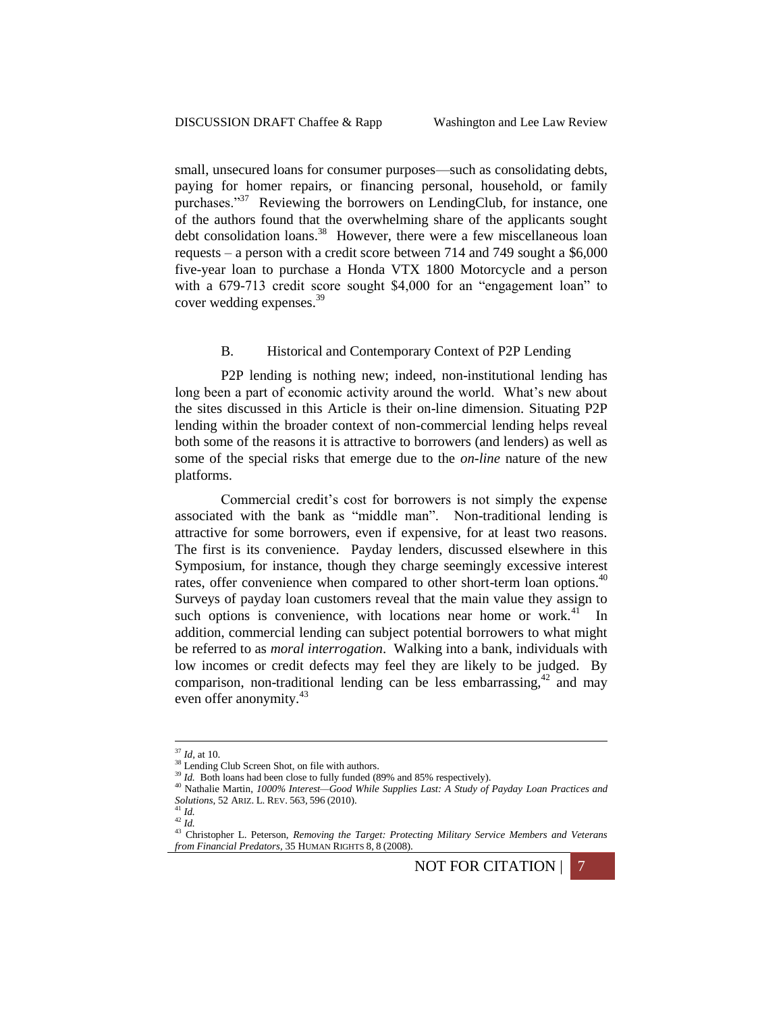small, unsecured loans for consumer purposes—such as consolidating debts, paying for homer repairs, or financing personal, household, or family purchases."<sup>37</sup> Reviewing the borrowers on LendingClub, for instance, one of the authors found that the overwhelming share of the applicants sought debt consolidation loans.<sup>38</sup> However, there were a few miscellaneous loan requests – a person with a credit score between 714 and 749 sought a \$6,000 five-year loan to purchase a Honda VTX 1800 Motorcycle and a person with a 679-713 credit score sought \$4,000 for an "engagement loan" to cover wedding expenses.<sup>39</sup>

### <span id="page-6-0"></span>B. Historical and Contemporary Context of P2P Lending

P2P lending is nothing new; indeed, non-institutional lending has long been a part of economic activity around the world. What's new about the sites discussed in this Article is their on-line dimension. Situating P2P lending within the broader context of non-commercial lending helps reveal both some of the reasons it is attractive to borrowers (and lenders) as well as some of the special risks that emerge due to the *on-line* nature of the new platforms.

Commercial credit's cost for borrowers is not simply the expense associated with the bank as "middle man". Non-traditional lending is attractive for some borrowers, even if expensive, for at least two reasons. The first is its convenience. Payday lenders, discussed elsewhere in this Symposium, for instance, though they charge seemingly excessive interest rates, offer convenience when compared to other short-term loan options.<sup>40</sup> Surveys of payday loan customers reveal that the main value they assign to such options is convenience, with locations near home or work. $41$  In addition, commercial lending can subject potential borrowers to what might be referred to as *moral interrogation*. Walking into a bank, individuals with low incomes or credit defects may feel they are likely to be judged. By comparison, non-traditional lending can be less embarrassing,  $42$  and may even offer anonymity.<sup>43</sup>

<sup>42</sup> *Id.*

<sup>&</sup>lt;sup>43</sup> Christopher L. Peterson, *Removing the Target: Protecting Military Service Members and Veterans from Financial Predators*, 35 HUMAN RIGHTS 8, 8 (2008).



<sup>37</sup> *Id,* at 10.

<sup>&</sup>lt;sup>38</sup> Lending Club Screen Shot, on file with authors.

<sup>&</sup>lt;sup>39</sup> *Id.* Both loans had been close to fully funded (89% and 85% respectively).

<sup>40</sup> Nathalie Martin, *1000% Interest—Good While Supplies Last: A Study of Payday Loan Practices and Solutions*, 52 ARIZ. L. REV. 563, 596 (2010). <sup>41</sup> *Id.*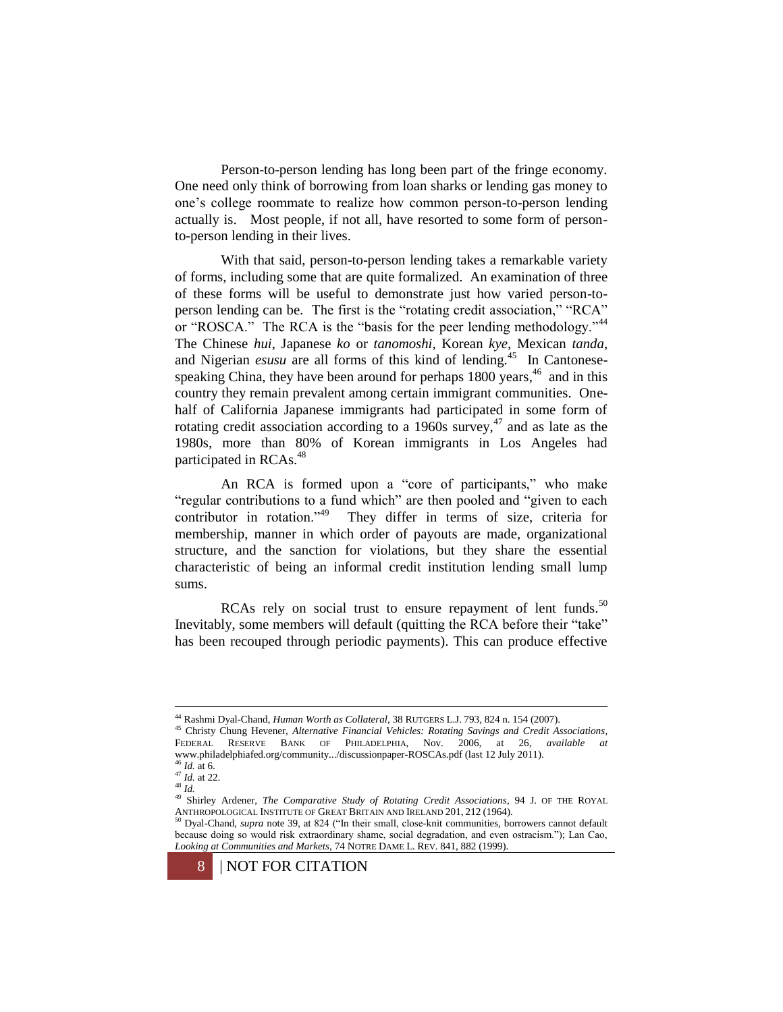Person-to-person lending has long been part of the fringe economy. One need only think of borrowing from loan sharks or lending gas money to one's college roommate to realize how common person-to-person lending actually is. Most people, if not all, have resorted to some form of personto-person lending in their lives.

<span id="page-7-0"></span>With that said, person-to-person lending takes a remarkable variety of forms, including some that are quite formalized. An examination of three of these forms will be useful to demonstrate just how varied person-toperson lending can be. The first is the "rotating credit association," "RCA" or "ROSCA." The RCA is the "basis for the peer lending methodology."<sup>44</sup> The Chinese *hui*, Japanese *ko* or *tanomoshi*, Korean *kye*, Mexican *tanda*, and Nigerian *esusu* are all forms of this kind of lending.<sup>45</sup> In Cantonesespeaking China, they have been around for perhaps 1800 years,<sup>46</sup> and in this country they remain prevalent among certain immigrant communities. Onehalf of California Japanese immigrants had participated in some form of rotating credit association according to a 1960s survey,  $47$  and as late as the 1980s, more than 80% of Korean immigrants in Los Angeles had participated in RCAs.<sup>48</sup>

An RCA is formed upon a "core of participants," who make "regular contributions to a fund which" are then pooled and "given to each contributor in rotation."<sup>49</sup> They differ in terms of size, criteria for membership, manner in which order of payouts are made, organizational structure, and the sanction for violations, but they share the essential characteristic of being an informal credit institution lending small lump sums.

RCAs rely on social trust to ensure repayment of lent funds.<sup>50</sup> Inevitably, some members will default (quitting the RCA before their "take" has been recouped through periodic payments). This can produce effective

<sup>44</sup> Rashmi Dyal-Chand, *Human Worth as Collateral*, 38 RUTGERS L.J. 793, 824 n. 154 (2007).

<sup>45</sup> Christy Chung Hevener, *Alternative Financial Vehicles: Rotating Savings and Credit Associations*, FEDERAL RESERVE BANK OF PHILADELPHIA, Nov. 2006, at 26, *available at*  www.philadelphiafed.org/community.../discussionpaper-ROSCAs.pdf (last 12 July 2011).

<sup>46</sup> *Id.* at 6. <sup>47</sup> *Id.* at 22.

 $48 \frac{10}{1}$ .

<sup>&</sup>lt;sup>49</sup> Shirley Ardener, *The Comparative Study of Rotating Credit Associations*, 94 J. OF THE ROYAL ANTHROPOLOGICAL INSTITUTE OF GREAT BRITAIN AND IRELAND 201, 212 (1964).<br><sup>50</sup> Dyal-Chand super acts 20 at 201, <sup>407</sup>

<sup>50</sup> Dyal-Chand, *supra* note 39, at 824 ("In their small, close-knit communities, borrowers cannot default because doing so would risk extraordinary shame, social degradation, and even ostracism."); Lan Cao, *Looking at Communities and Markets*, 74 NOTRE DAME L. REV. 841, 882 (1999).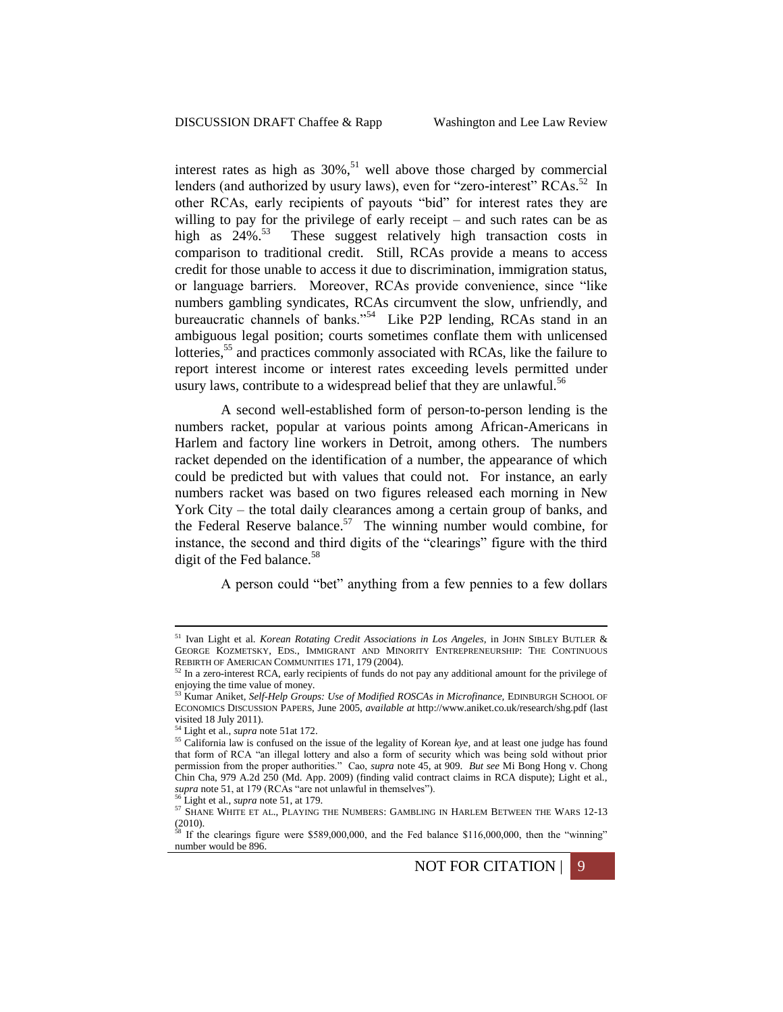<span id="page-8-0"></span>interest rates as high as  $30\%$ ,<sup>51</sup> well above those charged by commercial lenders (and authorized by usury laws), even for "zero-interest" RCAs.<sup>52</sup> In other RCAs, early recipients of payouts "bid" for interest rates they are willing to pay for the privilege of early receipt – and such rates can be as high as  $24\%$ .<sup>53</sup> These suggest relatively high transaction costs in comparison to traditional credit. Still, RCAs provide a means to access credit for those unable to access it due to discrimination, immigration status, or language barriers. Moreover, RCAs provide convenience, since "like numbers gambling syndicates, RCAs circumvent the slow, unfriendly, and bureaucratic channels of banks."<sup>54</sup> Like P2P lending, RCAs stand in an ambiguous legal position; courts sometimes conflate them with unlicensed lotteries,<sup>55</sup> and practices commonly associated with RCAs, like the failure to report interest income or interest rates exceeding levels permitted under usury laws, contribute to a widespread belief that they are unlawful.<sup>56</sup>

A second well-established form of person-to-person lending is the numbers racket, popular at various points among African-Americans in Harlem and factory line workers in Detroit, among others. The numbers racket depended on the identification of a number, the appearance of which could be predicted but with values that could not. For instance, an early numbers racket was based on two figures released each morning in New York City – the total daily clearances among a certain group of banks, and the Federal Reserve balance.<sup>57</sup> The winning number would combine, for instance, the second and third digits of the "clearings" figure with the third digit of the Fed balance.<sup>58</sup>

<span id="page-8-1"></span>A person could "bet" anything from a few pennies to a few dollars

number would be 896.



<sup>51</sup> Ivan Light et al. *Korean Rotating Credit Associations in Los Angeles,* in JOHN SIBLEY BUTLER & GEORGE KOZMETSKY, EDS., IMMIGRANT AND MINORITY ENTREPRENEURSHIP: THE CONTINUOUS REBIRTH OF AMERICAN COMMUNITIES 171, 179 (2004).<br><sup>52</sup> In a zero-interest RCA, early recipients of funds do not pay any additional amount for the privilege of

enjoying the time value of money. <sup>53</sup> Kumar Aniket, *Self-Help Groups: Use of Modified ROSCAs in Microfinance,* EDINBURGH SCHOOL OF

ECONOMICS DISCUSSION PAPERS, June 2005, *available at* http://www.aniket.co.uk/research/shg.pdf (last visited 18 July 2011).

<sup>54</sup> Light et al., *supra* not[e 51a](#page-8-0)t 172.

<sup>55</sup> California law is confused on the issue of the legality of Korean *kye*, and at least one judge has found that form of RCA "an illegal lottery and also a form of security which was being sold without prior permission from the proper authorities." Cao, *supra* note [45,](#page-7-0) at 909. *But see* Mi Bong Hong v. Chong Chin Cha, 979 A.2d 250 (Md. App. 2009) (finding valid contract claims in RCA dispute); Light et al., *supra* note [51,](#page-8-0) at 179 (RCAs "are not unlawful in themselves").

<sup>56</sup> Light et al., *supra* not[e 51,](#page-8-0) at 179.

<sup>57</sup> SHANE WHITE ET AL., PLAYING THE NUMBERS: GAMBLING IN HARLEM BETWEEN THE WARS 12-13  $(2010)$ .<br><sup>58</sup> If the clearings figure were \$589,000,000, and the Fed balance \$116,000,000, then the "winning"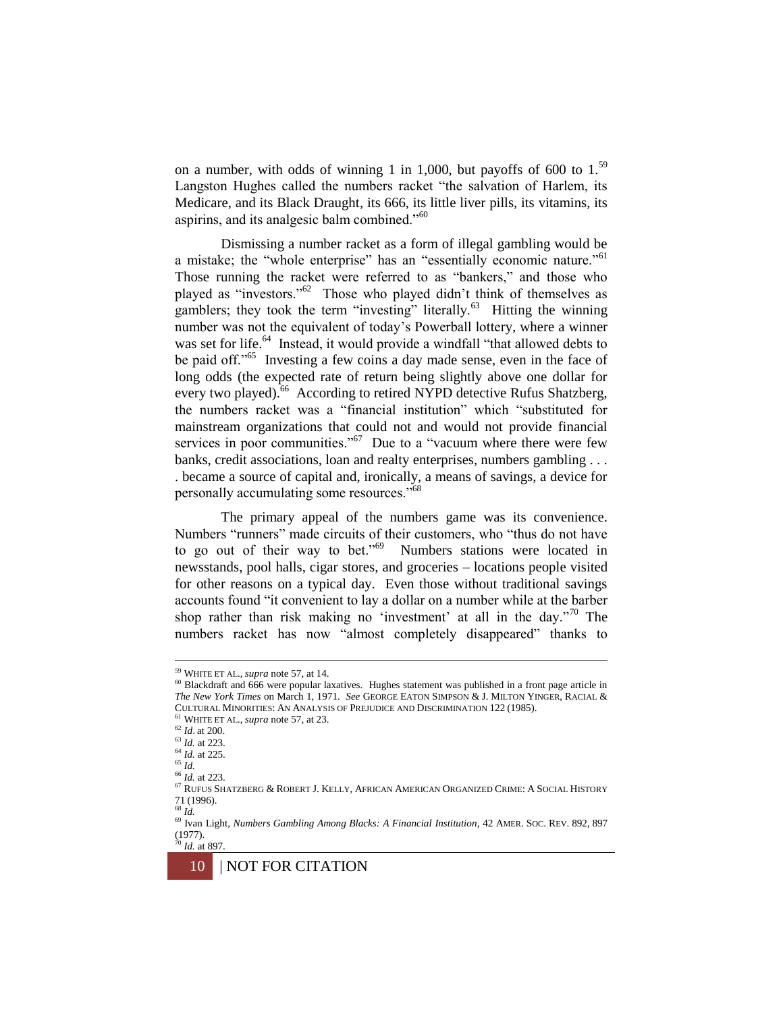on a number, with odds of winning 1 in 1,000, but payoffs of 600 to  $1<sup>59</sup>$ Langston Hughes called the numbers racket "the salvation of Harlem, its Medicare, and its Black Draught, its 666, its little liver pills, its vitamins, its aspirins, and its analgesic balm combined."<sup>60</sup>

Dismissing a number racket as a form of illegal gambling would be a mistake; the "whole enterprise" has an "essentially economic nature."<sup>61</sup> Those running the racket were referred to as "bankers," and those who played as "investors."<sup>62</sup> Those who played didn't think of themselves as gamblers; they took the term "investing" literally.<sup>63</sup> Hitting the winning number was not the equivalent of today's Powerball lottery, where a winner was set for life.<sup>64</sup> Instead, it would provide a windfall "that allowed debts to be paid off."<sup>65</sup> Investing a few coins a day made sense, even in the face of long odds (the expected rate of return being slightly above one dollar for every two played).<sup>66</sup> According to retired NYPD detective Rufus Shatzberg, the numbers racket was a "financial institution" which "substituted for mainstream organizations that could not and would not provide financial services in poor communities."<sup>67</sup> Due to a "vacuum where there were few banks, credit associations, loan and realty enterprises, numbers gambling . . . . became a source of capital and, ironically, a means of savings, a device for personally accumulating some resources."<sup>68</sup>

The primary appeal of the numbers game was its convenience. Numbers "runners" made circuits of their customers, who "thus do not have to go out of their way to bet." $69$  Numbers stations were located in newsstands, pool halls, cigar stores, and groceries – locations people visited for other reasons on a typical day. Even those without traditional savings accounts found "it convenient to lay a dollar on a number while at the barber shop rather than risk making no 'investment' at all in the day."<sup>70</sup> The numbers racket has now "almost completely disappeared" thanks to

<sup>61</sup> WHITE ET AL., *supra* not[e 57,](#page-8-1) at 23.

<sup>59</sup> WHITE ET AL., *supra* not[e 57,](#page-8-1) at 14.

<sup>60</sup> Blackdraft and 666 were popular laxatives. Hughes statement was published in a front page article in *The New York Times* on March 1, 1971. *See* GEORGE EATON SIMPSON & J. MILTON YINGER, RACIAL & CULTURAL MINORITIES: AN ANALYSIS OF PREJUDICE AND DISCRIMINATION 122 (1985).

<sup>62</sup> *Id*. at 200.

<sup>63</sup> *Id.* at 223. <sup>64</sup> *Id.* at 225.

<sup>65</sup> *Id.*

<sup>66</sup> *Id.* at 223.

<sup>67</sup> RUFUS SHATZBERG & ROBERT J. KELLY, AFRICAN AMERICAN ORGANIZED CRIME: A SOCIAL HISTORY 71 (1996).

<sup>68</sup> *Id.*

<sup>69</sup> Ivan Light, *Numbers Gambling Among Blacks: A Financial Institution*, 42 AMER. SOC. REV. 892, 897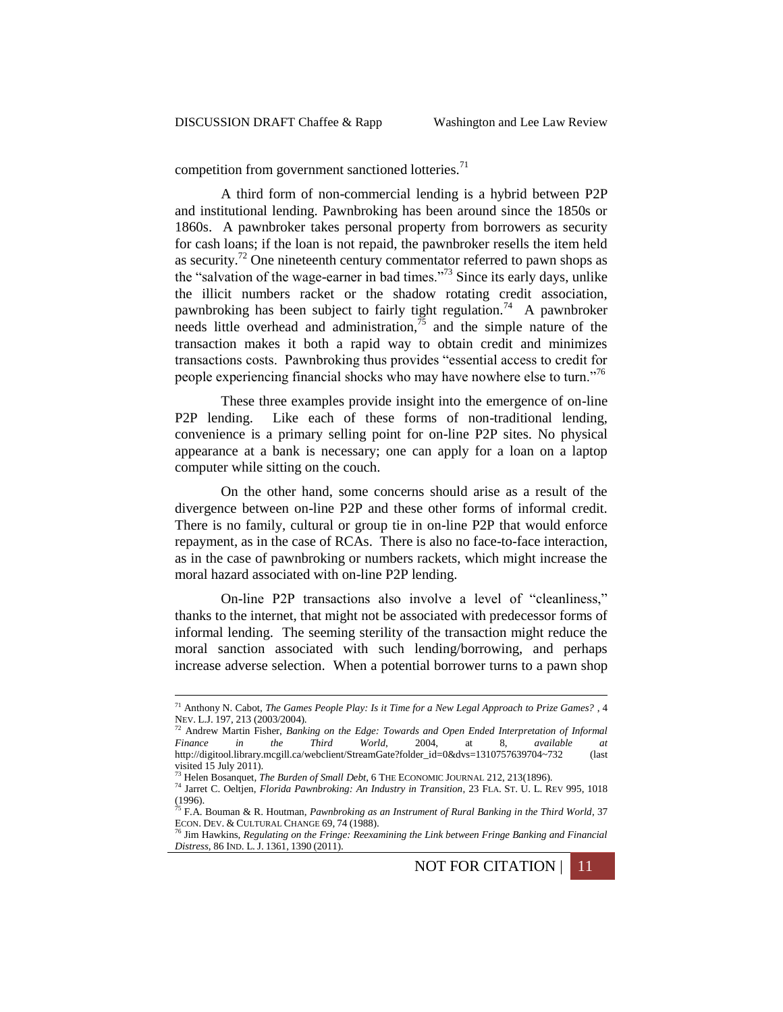competition from government sanctioned lotteries. $71$ 

A third form of non-commercial lending is a hybrid between P2P and institutional lending. Pawnbroking has been around since the 1850s or 1860s. A pawnbroker takes personal property from borrowers as security for cash loans; if the loan is not repaid, the pawnbroker resells the item held as security.<sup>72</sup> One nineteenth century commentator referred to pawn shops as the "salvation of the wage-earner in bad times."<sup>73</sup> Since its early days, unlike the illicit numbers racket or the shadow rotating credit association, pawnbroking has been subject to fairly tight regulation.<sup>74</sup> A pawnbroker needs little overhead and administration,  $\frac{1}{2}$  and the simple nature of the transaction makes it both a rapid way to obtain credit and minimizes transactions costs. Pawnbroking thus provides "essential access to credit for people experiencing financial shocks who may have nowhere else to turn."<sup>76</sup>

These three examples provide insight into the emergence of on-line P2P lending. Like each of these forms of non-traditional lending, convenience is a primary selling point for on-line P2P sites. No physical appearance at a bank is necessary; one can apply for a loan on a laptop computer while sitting on the couch.

On the other hand, some concerns should arise as a result of the divergence between on-line P2P and these other forms of informal credit. There is no family, cultural or group tie in on-line P2P that would enforce repayment, as in the case of RCAs. There is also no face-to-face interaction, as in the case of pawnbroking or numbers rackets, which might increase the moral hazard associated with on-line P2P lending.

On-line P2P transactions also involve a level of "cleanliness," thanks to the internet, that might not be associated with predecessor forms of informal lending. The seeming sterility of the transaction might reduce the moral sanction associated with such lending/borrowing, and perhaps increase adverse selection. When a potential borrower turns to a pawn shop

<sup>71</sup> Anthony N. Cabot, *The Games People Play: Is it Time for a New Legal Approach to Prize Games?* , 4 NEV. L.J. 197, 213 (2003/2004). <sup>72</sup> Andrew Martin Fisher, *Banking on the Edge: Towards and Open Ended Interpretation of Informal* 

*Finance in the Third World*, 2004, at 8, *available at*  http://digitool.library.mcgill.ca/webclient/StreamGate?folder\_id=0&dvs=1310757639704~732 (last visited 15 July 2011).

<sup>73</sup> Helen Bosanquet, *The Burden of Small Debt*, 6 THE ECONOMIC JOURNAL 212, 213(1896).

<sup>74</sup> Jarret C. Oeltjen, *Florida Pawnbroking: An Industry in Transition*, 23 FLA. ST. U. L. REV 995, 1018 (1996). <sup>75</sup> F.A. Bouman & R. Houtman, *Pawnbroking as an Instrument of Rural Banking in the Third World*, 37

ECON. DEV. & CULTURAL CHANGE 69, 74 (1988).

<sup>76</sup> Jim Hawkins, *Regulating on the Fringe: Reexamining the Link between Fringe Banking and Financial Distress*, 86 IND. L. J. 1361, 1390 (2011).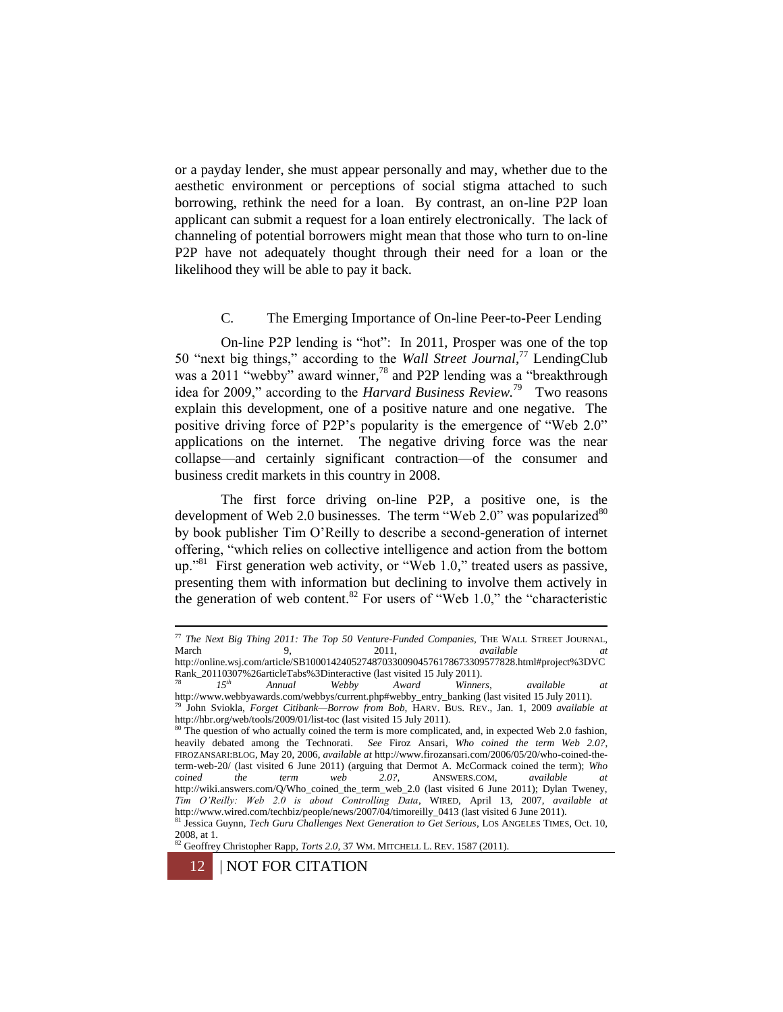or a payday lender, she must appear personally and may, whether due to the aesthetic environment or perceptions of social stigma attached to such borrowing, rethink the need for a loan. By contrast, an on-line P2P loan applicant can submit a request for a loan entirely electronically. The lack of channeling of potential borrowers might mean that those who turn to on-line P2P have not adequately thought through their need for a loan or the likelihood they will be able to pay it back.

# C. The Emerging Importance of On-line Peer-to-Peer Lending

On-line P2P lending is "hot": In 2011, Prosper was one of the top 50 "next big things," according to the *Wall Street Journal*, <sup>77</sup> LendingClub was a 2011 "webby" award winner,<sup>78</sup> and P2P lending was a "breakthrough idea for 2009," according to the *Harvard Business Review.*<sup>79</sup> Two reasons explain this development, one of a positive nature and one negative. The positive driving force of P2P's popularity is the emergence of "Web 2.0" applications on the internet. The negative driving force was the near collapse—and certainly significant contraction—of the consumer and business credit markets in this country in 2008.

The first force driving on-line P2P, a positive one, is the development of Web 2.0 businesses. The term "Web  $2.0$ " was popularized  $80$ by book publisher Tim O'Reilly to describe a second-generation of internet offering, "which relies on collective intelligence and action from the bottom up.<sup>381</sup> First generation web activity, or "Web 1.0," treated users as passive, presenting them with information but declining to involve them actively in the generation of web content.<sup>82</sup> For users of "Web 1.0," the "characteristic

<sup>77</sup> *The Next Big Thing 2011: The Top 50 Venture-Funded Companies,* THE WALL STREET JOURNAL, March 9, 2011, *available at at* http://online.wsj.com/article/SB10001424052748703300904576178673309577828.html#project%3DVC

Rank\_20110307%26articleTabs%3Dinteractive (last visited 15 July 2011).<br>  $\frac{78}{15}$  15<sup>th</sup> Annual Webby Award Winner <sup>78</sup> *15th Annual Webby Award Winners*, *available at* 

http://www.webbyawards.com/webbys/current.php#webby\_entry\_banking (last visited 15 July 2011). <sup>79</sup> John Sviokla, *Forget Citibank—Borrow from Bob*, HARV. BUS. REV., Jan. 1, 2009 *available at* 

http://hbr.org/web/tools/2009/01/list-toc (last visited 15 July 2011).<br><sup>80</sup> The question of who actually coined the term is more complicated, and, in expected Web 2.0 fashion, heavily debated among the Technorati. *See* Firoz Ansari, *Who coined the term Web 2.0?*, FIROZANSARI:BLOG, May 20, 2006, *available at* http://www.firozansari.com/2006/05/20/who-coined-theterm-web-20/ (last visited 6 June 2011) (arguing that Dermot A. McCormack coined the term); *Who coined the term web 2.0?*, ANSWERS.COM, *available at*  http://wiki.answers.com/Q/Who\_coined\_the\_term\_web\_2.0 (last visited 6 June 2011); Dylan Tweney, *Tim O'Reilly: Web 2.0 is about Controlling Data*, WIRED, April 13, 2007, *available at*  http://www.wired.com/techbiz/people/news/2007/04/timoreilly\_0413 (last visited 6 June 2011).

<sup>81</sup> Jessica Guynn, *Tech Guru Challenges Next Generation to Get Serious*, LOS ANGELES TIMES, Oct. 10, 2008, at 1.

<sup>82</sup> Geoffrey Chr<u>istopher Rapp, *Torts* 2.0</u>, 37 WM. MITCHELL L. REV. 1587 (2011).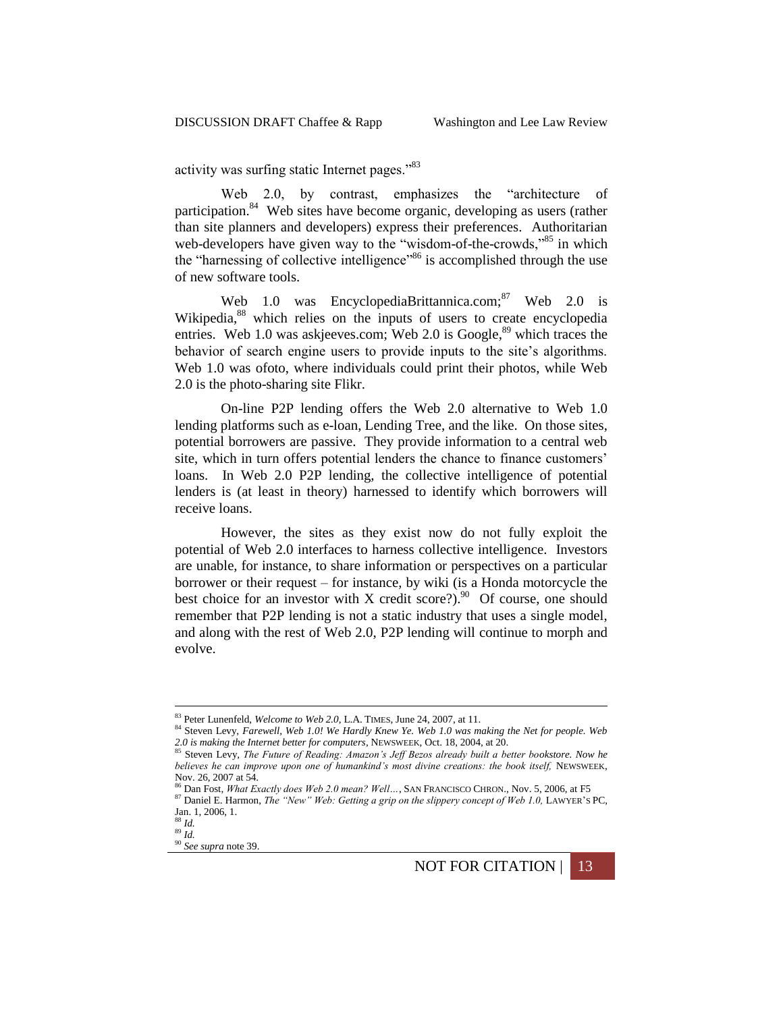activity was surfing static Internet pages."<sup>83</sup>

Web 2.0, by contrast, emphasizes the "architecture of participation.<sup>84</sup> Web sites have become organic, developing as users (rather than site planners and developers) express their preferences. Authoritarian web-developers have given way to the "wisdom-of-the-crowds,"<sup>85</sup> in which the "harnessing of collective intelligence"<sup>86</sup> is accomplished through the use of new software tools.

Web 1.0 was EncyclopediaBrittannica.com;<sup>87</sup> Web 2.0 is Wikipedia, <sup>88</sup> which relies on the inputs of users to create encyclopedia entries. Web 1.0 was askjeeves.com; Web 2.0 is Google,<sup>89</sup> which traces the behavior of search engine users to provide inputs to the site's algorithms. Web 1.0 was ofoto, where individuals could print their photos, while Web 2.0 is the photo-sharing site Flikr.

On-line P2P lending offers the Web 2.0 alternative to Web 1.0 lending platforms such as e-loan, Lending Tree, and the like. On those sites, potential borrowers are passive. They provide information to a central web site, which in turn offers potential lenders the chance to finance customers' loans. In Web 2.0 P2P lending, the collective intelligence of potential lenders is (at least in theory) harnessed to identify which borrowers will receive loans.

However, the sites as they exist now do not fully exploit the potential of Web 2.0 interfaces to harness collective intelligence. Investors are unable, for instance, to share information or perspectives on a particular borrower or their request – for instance, by wiki (is a Honda motorcycle the best choice for an investor with X credit score?).<sup>90</sup> Of course, one should remember that P2P lending is not a static industry that uses a single model, and along with the rest of Web 2.0, P2P lending will continue to morph and evolve.

<sup>83</sup> Peter Lunenfeld, *Welcome to Web 2.0*, L.A. TIMES, June 24, 2007, at 11.

<sup>84</sup> Steven Levy, *Farewell, Web 1.0! We Hardly Knew Ye. Web 1.0 was making the Net for people. Web 2.0 is making the Internet better for computers*, NEWSWEEK, Oct. 18, 2004, at 20.

<sup>85</sup> Steven Levy, *The Future of Reading: Amazon's Jeff Bezos already built a better bookstore. Now he believes he can improve upon one of humankind's most divine creations: the book itself, NEWSWEEK,* Nov. 26, 2007 at 54.

<sup>86</sup> Dan Fost, *What Exactly does Web 2.0 mean? Well…*, SAN FRANCISCO CHRON., Nov. 5, 2006, at F5 87 Daniel E. Harmon, *The "New" Web: Getting a grip on the slippery concept of Web 1.0, LAWYER'S PC*, Jan. 1, 2006, 1.

<sup>88</sup> *Id.* <sup>89</sup> *Id.*

<sup>90</sup> *See supra* note [39.](#page-6-0)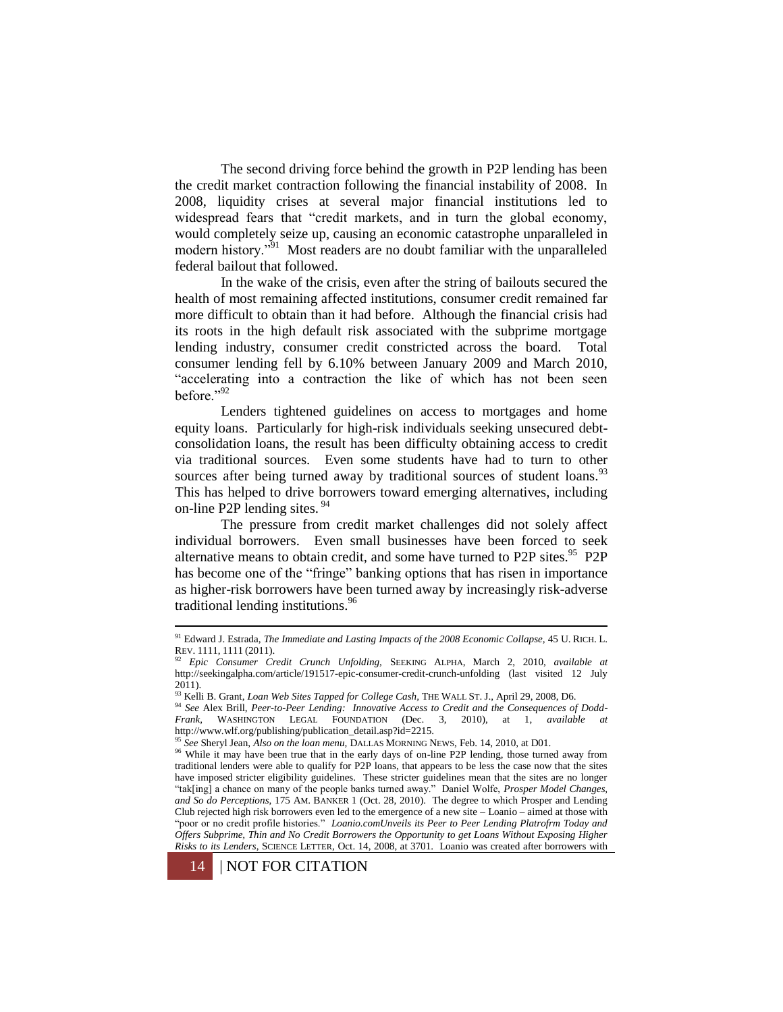The second driving force behind the growth in P2P lending has been the credit market contraction following the financial instability of 2008. In 2008, liquidity crises at several major financial institutions led to widespread fears that "credit markets, and in turn the global economy, would completely seize up, causing an economic catastrophe unparalleled in modern history."<sup>51</sup> Most readers are no doubt familiar with the unparalleled federal bailout that followed.

In the wake of the crisis, even after the string of bailouts secured the health of most remaining affected institutions, consumer credit remained far more difficult to obtain than it had before. Although the financial crisis had its roots in the high default risk associated with the subprime mortgage lending industry, consumer credit constricted across the board. Total consumer lending fell by 6.10% between January 2009 and March 2010, "accelerating into a contraction the like of which has not been seen before."92

Lenders tightened guidelines on access to mortgages and home equity loans. Particularly for high-risk individuals seeking unsecured debtconsolidation loans, the result has been difficulty obtaining access to credit via traditional sources. Even some students have had to turn to other sources after being turned away by traditional sources of student loans. $93$ This has helped to drive borrowers toward emerging alternatives, including on-line P2P lending sites. <sup>94</sup>

The pressure from credit market challenges did not solely affect individual borrowers. Even small businesses have been forced to seek alternative means to obtain credit, and some have turned to P2P sites.<sup>95</sup> P2P has become one of the "fringe" banking options that has risen in importance as higher-risk borrowers have been turned away by increasingly risk-adverse traditional lending institutions.<sup>96</sup>

<sup>&</sup>lt;sup>91</sup> Edward J. Estrada, *The Immediate and Lasting Impacts of the 2008 Economic Collapse*, 45 U. RICH. L. REV. 1111, 1111 (2011).

<sup>92</sup> *Epic Consumer Credit Crunch Unfolding,* SEEKING ALPHA, March 2, 2010, *available at*  http://seekingalpha.com/article/191517-epic-consumer-credit-crunch-unfolding (last visited 12 July 2011).

<sup>93</sup> Kelli B. Grant, *Loan Web Sites Tapped for College Cash,* THE WALL ST. J., April 29, 2008, D6.

<sup>94</sup> *See* Alex Brill, *Peer-to-Peer Lending: Innovative Access to Credit and the Consequences of Dodd-Frank*, WASHINGTON LEGAL FOUNDATION (Dec. 3, 2010), at 1, *available at*  http://www.wlf.org/publishing/publication\_detail.asp?id=2215.

<sup>95</sup> *See* Sheryl Jean, *Also on the loan menu,* DALLAS MORNING NEWS, Feb. 14, 2010, at D01.

<sup>&</sup>lt;sup>96</sup> While it may have been true that in the early days of on-line P2P lending, those turned away from traditional lenders were able to qualify for P2P loans, that appears to be less the case now that the sites have imposed stricter eligibility guidelines. These stricter guidelines mean that the sites are no longer "tak[ing] a chance on many of the people banks turned away." Daniel Wolfe, *Prosper Model Changes, and So do Perceptions*, 175 AM. BANKER 1 (Oct. 28, 2010). The degree to which Prosper and Lending Club rejected high risk borrowers even led to the emergence of a new site – Loanio – aimed at those with "poor or no credit profile histories." *Loanio.comUnveils its Peer to Peer Lending Platrofrm Today and Offers Subprime, Thin and No Credit Borrowers the Opportunity to get Loans Without Exposing Higher Risks to its Lenders*, SCIENCE LETTER, Oct. 14, 2008, at 3701. Loanio was created after borrowers with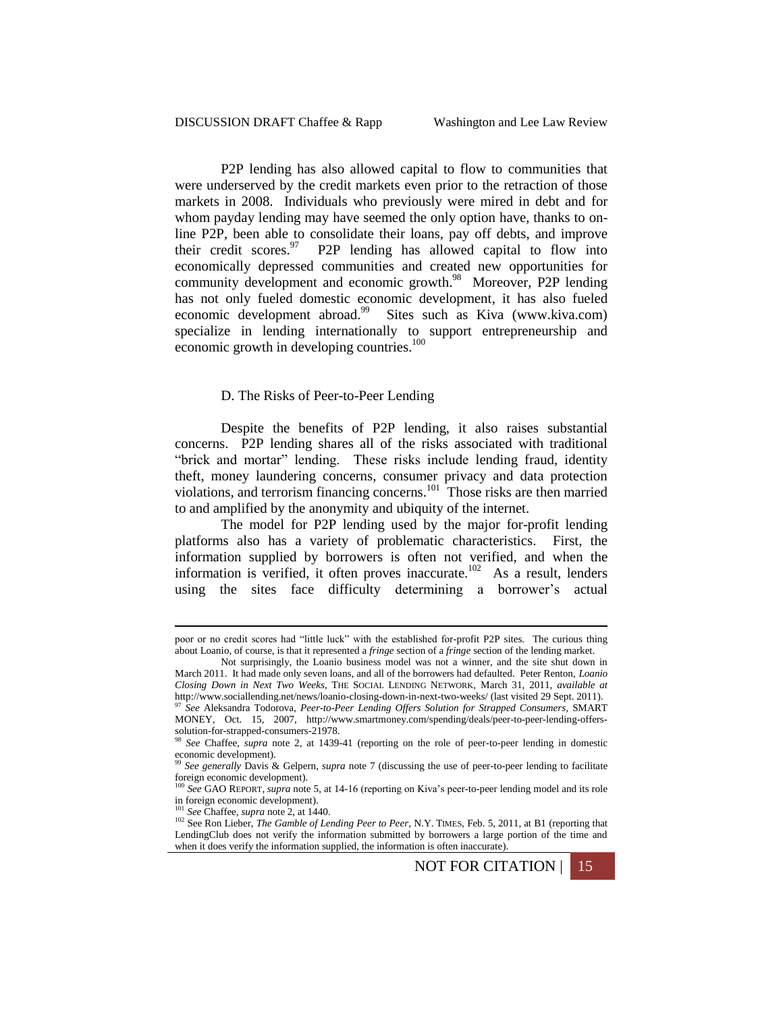P2P lending has also allowed capital to flow to communities that were underserved by the credit markets even prior to the retraction of those markets in 2008. Individuals who previously were mired in debt and for whom payday lending may have seemed the only option have, thanks to online P2P, been able to consolidate their loans, pay off debts, and improve their credit scores.<sup>97</sup> P2P lending has allowed capital to flow into economically depressed communities and created new opportunities for community development and economic growth.<sup>98</sup> Moreover, P2P lending has not only fueled domestic economic development, it has also fueled economic development abroad.<sup>99</sup> Sites such as Kiva (www.kiva.com) specialize in lending internationally to support entrepreneurship and economic growth in developing countries.<sup>100</sup>

#### D. The Risks of Peer-to-Peer Lending

Despite the benefits of P2P lending, it also raises substantial concerns. P2P lending shares all of the risks associated with traditional "brick and mortar" lending. These risks include lending fraud, identity theft, money laundering concerns, consumer privacy and data protection violations, and terrorism financing concerns.<sup>101</sup> Those risks are then married to and amplified by the anonymity and ubiquity of the internet.

The model for P2P lending used by the major for-profit lending platforms also has a variety of problematic characteristics. First, the information supplied by borrowers is often not verified, and when the information is verified, it often proves inaccurate.<sup>102</sup> As a result, lenders using the sites face difficulty determining a borrower's actual

poor or no credit scores had "little luck" with the established for-profit P2P sites. The curious thing about Loanio, of course, is that it represented a *fringe* section of a *fringe* section of the lending market.

Not surprisingly, the Loanio business model was not a winner, and the site shut down in March 2011. It had made only seven loans, and all of the borrowers had defaulted. Peter Renton, *Loanio Closing Down in Next Two Weeks*, THE SOCIAL LENDING NETWORK, March 31, 2011, *available at*  http://www.sociallending.net/news/loanio-closing-down-in-next-two-weeks/ (last visited 29 Sept. 2011). <sup>97</sup> *See* Aleksandra Todorova, *Peer-to-Peer Lending Offers Solution for Strapped Consumers*, SMART MONEY, Oct. 15, 2007, http://www.smartmoney.com/spending/deals/peer-to-peer-lending-offerssolution-for-strapped-consumers-21978.

<sup>98</sup> *See* Chaffee, *supra* note 2, at 1439-41 (reporting on the role of peer-to-peer lending in domestic economic development).

<sup>99</sup> *See generally* Davis & Gelpern, *supra* note 7 (discussing the use of peer-to-peer lending to facilitate foreign economic development). <sup>100</sup> *See* GAO REPORT, *supra* note [5,](#page-1-0) at 14-16 (reporting on Kiva's peer-to-peer lending model and its role

in foreign economic development). <sup>101</sup> *See* Chaffee, *supra* note 2, at 1440.

<sup>&</sup>lt;sup>102</sup> See Ron Lieber, *The Gamble of Lending Peer to Peer*, N.Y. TIMES, Feb. 5, 2011, at B1 (reporting that LendingClub does not verify the information submitted by borrowers a large portion of the time and when it does verify the information supplied, the information is often inaccurate).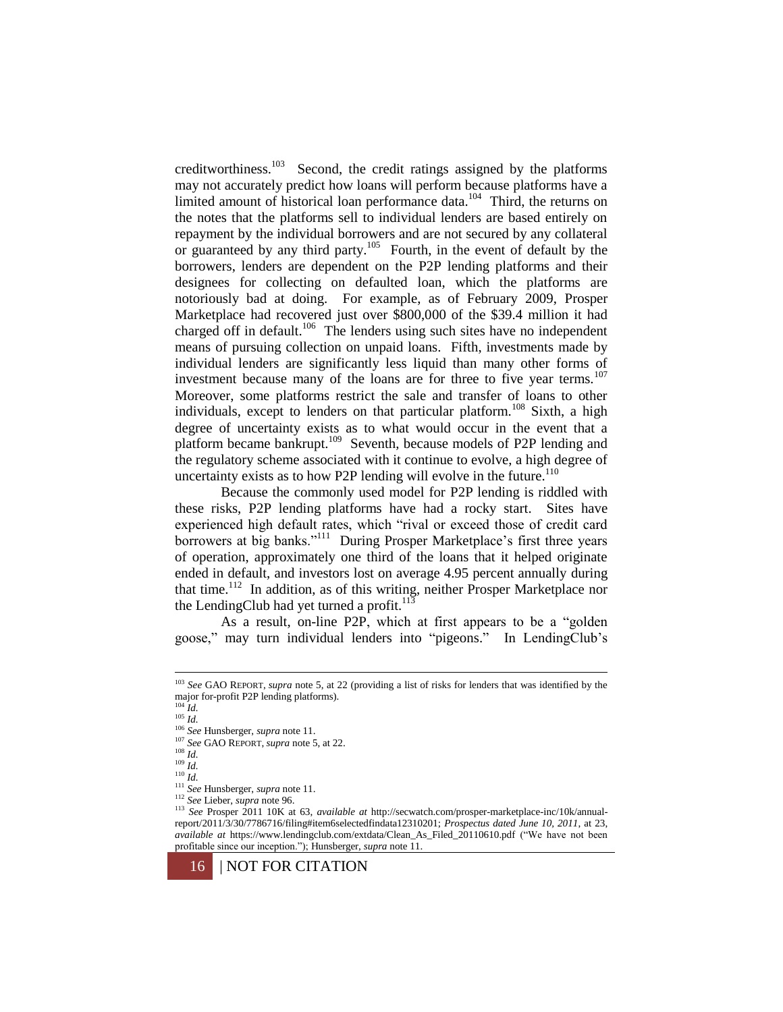creditworthiness.<sup>103</sup> Second, the credit ratings assigned by the platforms may not accurately predict how loans will perform because platforms have a limited amount of historical loan performance data.<sup>104</sup> Third, the returns on the notes that the platforms sell to individual lenders are based entirely on repayment by the individual borrowers and are not secured by any collateral or guaranteed by any third party.<sup>105</sup> Fourth, in the event of default by the borrowers, lenders are dependent on the P2P lending platforms and their designees for collecting on defaulted loan, which the platforms are notoriously bad at doing. For example, as of February 2009, Prosper Marketplace had recovered just over \$800,000 of the \$39.4 million it had charged off in default.<sup>106</sup> The lenders using such sites have no independent means of pursuing collection on unpaid loans. Fifth, investments made by individual lenders are significantly less liquid than many other forms of investment because many of the loans are for three to five year terms.<sup>107</sup> Moreover, some platforms restrict the sale and transfer of loans to other individuals, except to lenders on that particular platform.<sup>108</sup> Sixth, a high degree of uncertainty exists as to what would occur in the event that a platform became bankrupt.<sup>109</sup> Seventh, because models of P2P lending and the regulatory scheme associated with it continue to evolve, a high degree of uncertainty exists as to how P2P lending will evolve in the future. $110$ 

Because the commonly used model for P2P lending is riddled with these risks, P2P lending platforms have had a rocky start. Sites have experienced high default rates, which "rival or exceed those of credit card borrowers at big banks."<sup>111</sup> During Prosper Marketplace's first three years of operation, approximately one third of the loans that it helped originate ended in default, and investors lost on average 4.95 percent annually during that time.<sup>112</sup> In addition, as of this writing, neither Prosper Marketplace nor the LendingClub had yet turned a profit. $113$ 

As a result, on-line P2P, which at first appears to be a "golden goose," may turn individual lenders into "pigeons." In LendingClub's

<sup>103</sup> *See* GAO REPORT, *supra* note [5,](#page-1-0) at 22 (providing a list of risks for lenders that was identified by the major for-profit P2P lending platforms). <sup>104</sup> *Id.*

<sup>105</sup> *Id.*

<sup>106</sup> *See* Hunsberger, *supra* not[e 11.](#page-2-1)

<sup>107</sup> *See* GAO REPORT, *supra* note [5,](#page-1-0) at 22.

<sup>108</sup> *Id.*

 $109$  *Id.* 

<sup>110</sup> *Id.*

<sup>111</sup> *See* Hunsberger, *supra* not[e 11.](#page-2-1)

<sup>112</sup> *See* Lieber, *supra* note 96.

<sup>113</sup> *See* Prosper 2011 10K at 63, *available at* http://secwatch.com/prosper-marketplace-inc/10k/annualreport/2011/3/30/7786716/filing#item6selectedfindata12310201; *Prospectus dated June 10, 2011*, at 23, *available at* https://www.lendingclub.com/extdata/Clean\_As\_Filed\_20110610.pdf ("We have not been profitable since our inception."); Hunsberger, *supra* not[e 11.](#page-2-1)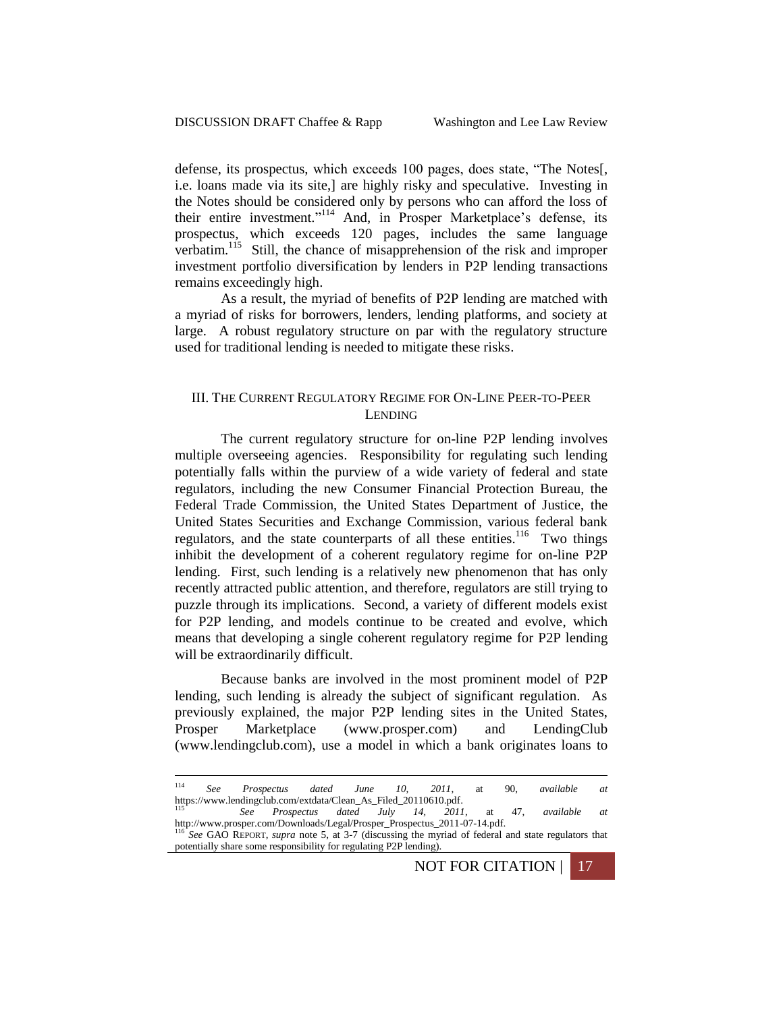defense, its prospectus, which exceeds 100 pages, does state, "The Notes[, i.e. loans made via its site,] are highly risky and speculative. Investing in the Notes should be considered only by persons who can afford the loss of their entire investment."<sup>114</sup> And, in Prosper Marketplace's defense, its prospectus, which exceeds 120 pages, includes the same language verbatim.<sup>115</sup> Still, the chance of misapprehension of the risk and improper investment portfolio diversification by lenders in P2P lending transactions remains exceedingly high.

As a result, the myriad of benefits of P2P lending are matched with a myriad of risks for borrowers, lenders, lending platforms, and society at large. A robust regulatory structure on par with the regulatory structure used for traditional lending is needed to mitigate these risks.

# III. THE CURRENT REGULATORY REGIME FOR ON-LINE PEER-TO-PEER LENDING

The current regulatory structure for on-line P2P lending involves multiple overseeing agencies. Responsibility for regulating such lending potentially falls within the purview of a wide variety of federal and state regulators, including the new Consumer Financial Protection Bureau, the Federal Trade Commission, the United States Department of Justice, the United States Securities and Exchange Commission, various federal bank regulators, and the state counterparts of all these entities.<sup>116</sup> Two things inhibit the development of a coherent regulatory regime for on-line P2P lending. First, such lending is a relatively new phenomenon that has only recently attracted public attention, and therefore, regulators are still trying to puzzle through its implications. Second, a variety of different models exist for P2P lending, and models continue to be created and evolve, which means that developing a single coherent regulatory regime for P2P lending will be extraordinarily difficult.

Because banks are involved in the most prominent model of P2P lending, such lending is already the subject of significant regulation. As previously explained, the major P2P lending sites in the United States, Prosper Marketplace (www.prosper.com) and LendingClub (www.lendingclub.com), use a model in which a bank originates loans to

 *See Prospectus dated July 14, 2011*, at 47, *available at*  http://www.prosper.com/Downloads/Legal/Prosper\_Prospectus\_2011-07-14.pdf. <sup>116</sup> *See* GAO REPORT, *supra* note [5,](#page-1-0) at 3-7 (discussing the myriad of federal and state regulators that

NOT FOR CITATION | 17

<sup>114</sup> <sup>114</sup> *See Prospectus dated June 10, 2011*, at 90, *available at*  https://www.lendingclub.com/extdata/Clean\_As\_Filed\_20110610.pdf.<br>
115 See Brognestus dated July 14 2011

potentially share some responsibility for regulating P2P lending).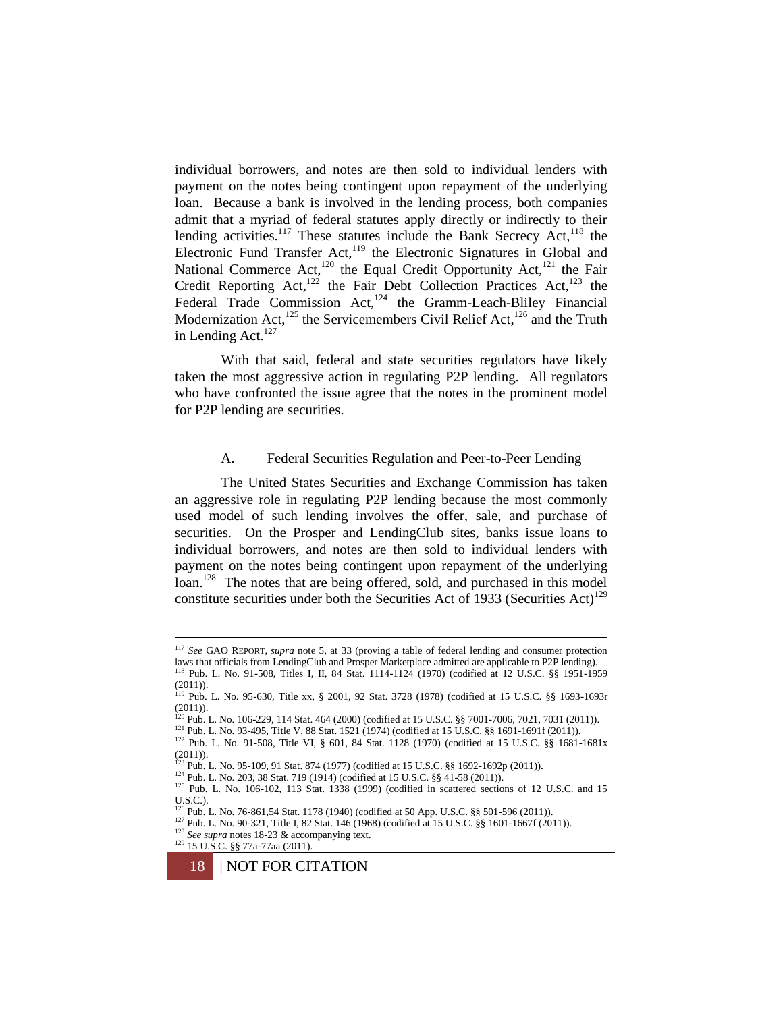individual borrowers, and notes are then sold to individual lenders with payment on the notes being contingent upon repayment of the underlying loan. Because a bank is involved in the lending process, both companies admit that a myriad of federal statutes apply directly or indirectly to their lending activities.<sup>117</sup> These statutes include the Bank Secrecy Act,<sup>118</sup> the Electronic Fund Transfer Act,<sup>119</sup> the Electronic Signatures in Global and National Commerce Act,<sup>120</sup> the Equal Credit Opportunity Act,<sup>121</sup> the Fair Credit Reporting Act,<sup>122</sup> the Fair Debt Collection Practices Act,<sup>123</sup> the Federal Trade Commission Act,<sup>124</sup> the Gramm-Leach-Bliley Financial Modernization Act,  $^{125}$  the Servicemembers Civil Relief Act,  $^{126}$  and the Truth in Lending Act.<sup>127</sup>

With that said, federal and state securities regulators have likely taken the most aggressive action in regulating P2P lending. All regulators who have confronted the issue agree that the notes in the prominent model for P2P lending are securities.

### A. Federal Securities Regulation and Peer-to-Peer Lending

The United States Securities and Exchange Commission has taken an aggressive role in regulating P2P lending because the most commonly used model of such lending involves the offer, sale, and purchase of securities. On the Prosper and LendingClub sites, banks issue loans to individual borrowers, and notes are then sold to individual lenders with payment on the notes being contingent upon repayment of the underlying loan.<sup>128</sup> The notes that are being offered, sold, and purchased in this model constitute securities under both the Securities Act of 1933 (Securities Act)<sup>129</sup>

<sup>121</sup> Pub. L. No. 93-495, Title V, 88 Stat. 1521 (1974) (codified at 15 U.S.C. §§ 1691-1691f (2011)).

<sup>117</sup> *See* GAO REPORT, *supra* note [5,](#page-1-0) at 33 (proving a table of federal lending and consumer protection laws that officials from LendingClub and Prosper Marketplace admitted are applicable to P2P lending).<br><sup>118</sup> Pub. L. No. 91-508, Titles I, II, 84 Stat. 1114-1124 (1970) (codified at 12 U.S.C. §§ 1951-1959

<sup>(2011)).</sup> <sup>119</sup> Pub. L. No. 95-630, Title xx, § 2001, 92 Stat. 3728 (1978) (codified at 15 U.S.C. §§ 1693-1693r (2011)). <sup>120</sup> Pub. L. No. 106-229, 114 Stat. 464 (2000) (codified at 15 U.S.C. §§ 7001-7006, 7021, 7031 (2011)).

<sup>122</sup> Pub. L. No. 91-508, Title VI, § 601, 84 Stat. 1128 (1970) (codified at 15 U.S.C. §§ 1681-1681x (2011)). <sup>123</sup> Pub. L. No. 95-109, 91 Stat. 874 (1977) (codified at 15 U.S.C. §§ 1692-1692p (2011)).

<sup>124</sup> Pub. L. No. 203, 38 Stat. 719 (1914) (codified at 15 U.S.C. §§ 41-58 (2011)).

<sup>&</sup>lt;sup>125</sup> Pub. L. No. 106-102, 113 Stat. 1338 (1999) (codified in scattered sections of 12 U.S.C. and 15 U.S.C.). <sup>126</sup> Pub. L. No. 76-861,54 Stat. 1178 (1940) (codified at 50 App. U.S.C. §§ 501-596 (2011)).

<sup>127</sup> Pub. L. No. 90-321, Title I, 82 Stat. 146 (1968) (codified at 15 U.S.C. §§ 1601-1667f (2011)).

<sup>128</sup> *See supra* note[s 18](#page-4-1)[-23](#page-4-2) & accompanying text.

<sup>129</sup> 15 U.S.C. §§ 77a-77aa (2011).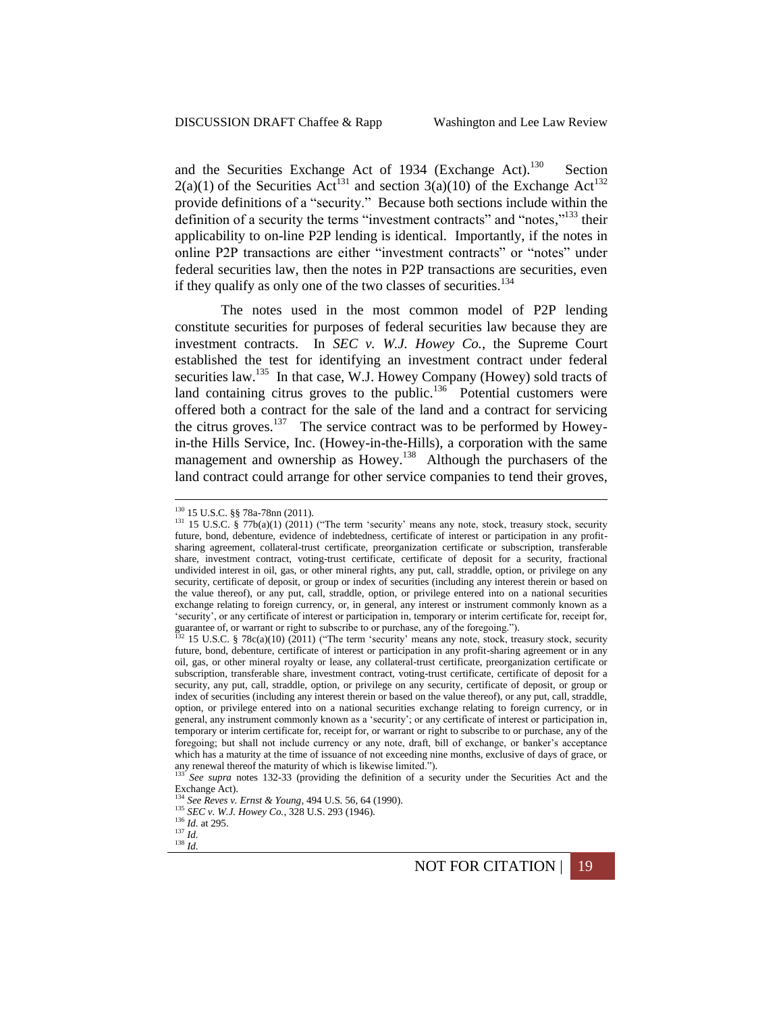and the Securities Exchange Act of 1934 (Exchange Act).<sup>130</sup> Section  $2(a)(1)$  of the Securities Act<sup>131</sup> and section 3(a)(10) of the Exchange Act<sup>132</sup> provide definitions of a "security." Because both sections include within the definition of a security the terms "investment contracts" and "notes,"<sup>133</sup> their applicability to on-line P2P lending is identical. Importantly, if the notes in online P2P transactions are either "investment contracts" or "notes" under federal securities law, then the notes in P2P transactions are securities, even if they qualify as only one of the two classes of securities.<sup>134</sup>

The notes used in the most common model of P2P lending constitute securities for purposes of federal securities law because they are investment contracts. In *SEC v. W.J. Howey Co.*, the Supreme Court established the test for identifying an investment contract under federal securities law.<sup>135</sup> In that case, W.J. Howey Company (Howey) sold tracts of land containing citrus groves to the public.<sup>136</sup> Potential customers were offered both a contract for the sale of the land and a contract for servicing the citrus groves.<sup>137</sup> The service contract was to be performed by Howeyin-the Hills Service, Inc. (Howey-in-the-Hills), a corporation with the same management and ownership as Howey.<sup>138</sup> Although the purchasers of the land contract could arrange for other service companies to tend their groves,

<sup>130</sup> 15 U.S.C. §§ 78a-78nn (2011).

<sup>&</sup>lt;sup>131</sup> 15 U.S.C. § 77b(a)(1) (2011) ("The term 'security' means any note, stock, treasury stock, security future, bond, debenture, evidence of indebtedness, certificate of interest or participation in any profitsharing agreement, collateral-trust certificate, preorganization certificate or subscription, transferable share, investment contract, voting-trust certificate, certificate of deposit for a security, fractional undivided interest in oil, gas, or other mineral rights, any put, call, straddle, option, or privilege on any security, certificate of deposit, or group or index of securities (including any interest therein or based on the value thereof), or any put, call, straddle, option, or privilege entered into on a national securities exchange relating to foreign currency, or, in general, any interest or instrument commonly known as a 'security', or any certificate of interest or participation in, temporary or interim certificate for, receipt for,

guarantee of, or warrant or right to subscribe to or purchase, any of the foregoing.").<br><sup>132</sup> 15 U.S.C. § 78c(a)(10) (2011) ("The term 'security' means any note, stock, treasury stock, security future, bond, debenture, certificate of interest or participation in any profit-sharing agreement or in any oil, gas, or other mineral royalty or lease, any collateral-trust certificate, preorganization certificate or subscription, transferable share, investment contract, voting-trust certificate, certificate of deposit for a security, any put, call, straddle, option, or privilege on any security, certificate of deposit, or group or index of securities (including any interest therein or based on the value thereof), or any put, call, straddle, option, or privilege entered into on a national securities exchange relating to foreign currency, or in general, any instrument commonly known as a 'security'; or any certificate of interest or participation in, temporary or interim certificate for, receipt for, or warrant or right to subscribe to or purchase, any of the foregoing; but shall not include currency or any note, draft, bill of exchange, or banker's acceptance which has a maturity at the time of issuance of not exceeding nine months, exclusive of days of grace, or any renewal thereof the maturity of which is likewise limited.").<br> $\frac{133}{260}$  See summer and  $\frac{123}{20}$  Celebration is likewise limited.").

<sup>133</sup> *See supra* notes 132-33 (providing the definition of a security under the Securities Act and the Exchange Act).

<sup>134</sup> *See Reves v. Ernst & Young*, 494 U.S. 56, 64 (1990).

<sup>135</sup> *SEC v. W.J. Howey Co.*, 328 U.S. 293 (1946). <sup>136</sup> *Id.* at 295.

<sup>137</sup> *Id.*  $138$   $\frac{10}{10}$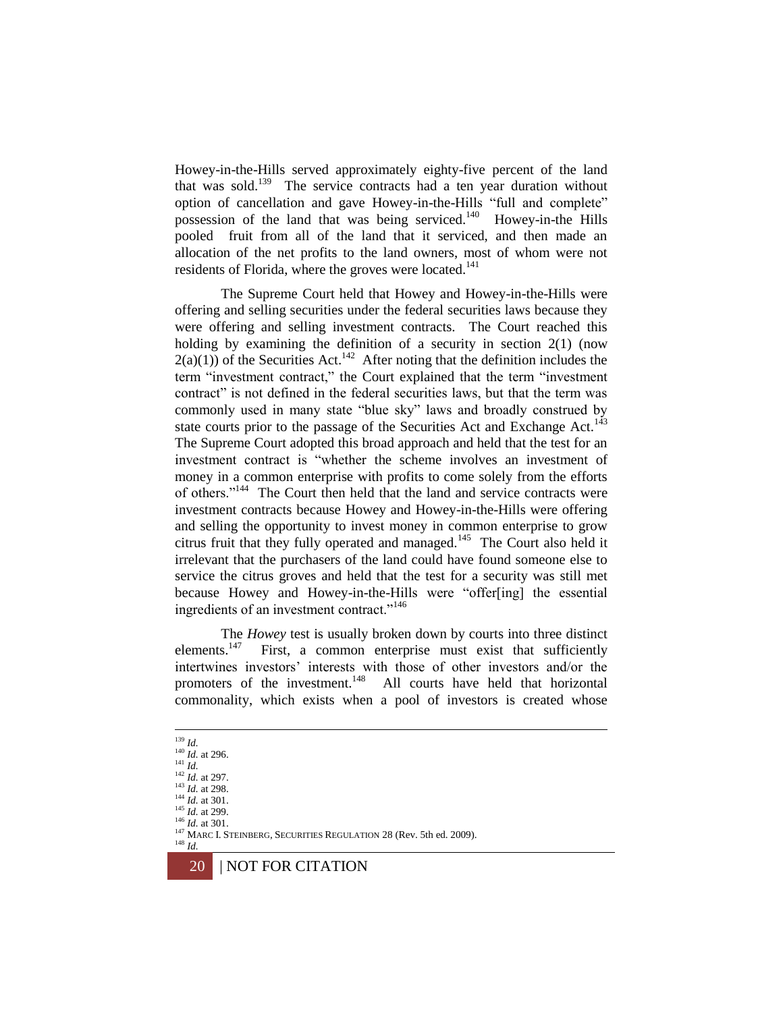Howey-in-the-Hills served approximately eighty-five percent of the land that was sold.<sup>139</sup> The service contracts had a ten year duration without option of cancellation and gave Howey-in-the-Hills "full and complete" possession of the land that was being serviced.<sup>140</sup> Howey-in-the Hills pooled fruit from all of the land that it serviced, and then made an allocation of the net profits to the land owners, most of whom were not residents of Florida, where the groves were located.<sup>141</sup>

The Supreme Court held that Howey and Howey-in-the-Hills were offering and selling securities under the federal securities laws because they were offering and selling investment contracts. The Court reached this holding by examining the definition of a security in section 2(1) (now  $2(a)(1)$ ) of the Securities Act.<sup>142</sup> After noting that the definition includes the term "investment contract," the Court explained that the term "investment contract" is not defined in the federal securities laws, but that the term was commonly used in many state "blue sky" laws and broadly construed by state courts prior to the passage of the Securities Act and Exchange Act.<sup>143</sup> The Supreme Court adopted this broad approach and held that the test for an investment contract is "whether the scheme involves an investment of money in a common enterprise with profits to come solely from the efforts of others."<sup>144</sup> The Court then held that the land and service contracts were investment contracts because Howey and Howey-in-the-Hills were offering and selling the opportunity to invest money in common enterprise to grow citrus fruit that they fully operated and managed.<sup>145</sup> The Court also held it irrelevant that the purchasers of the land could have found someone else to service the citrus groves and held that the test for a security was still met because Howey and Howey-in-the-Hills were "offer[ing] the essential ingredients of an investment contract."<sup>146</sup>

The *Howey* test is usually broken down by courts into three distinct elements.<sup>147</sup> First, a common enterprise must exist that sufficiently intertwines investors' interests with those of other investors and/or the promoters of the investment.<sup>148</sup> All courts have held that horizontal commonality, which exists when a pool of investors is created whose

1 <sup>139</sup> *Id.*

 $\frac{140}{1}$  *Id.* at 296.  $^{141}$  *Id.* 

<sup>142</sup> *Id.* at 297.

<sup>143</sup> *Id.* at 298.

<sup>144</sup> *Id.* at 301.

<sup>145</sup> *Id.* at 299. <sup>146</sup> *Id.* at 301.

<sup>&</sup>lt;sup>147</sup> MARC I. STEINBERG, SECURITIES REGULATION 28 (Rev. 5th ed. 2009). <sup>148</sup> *Id.*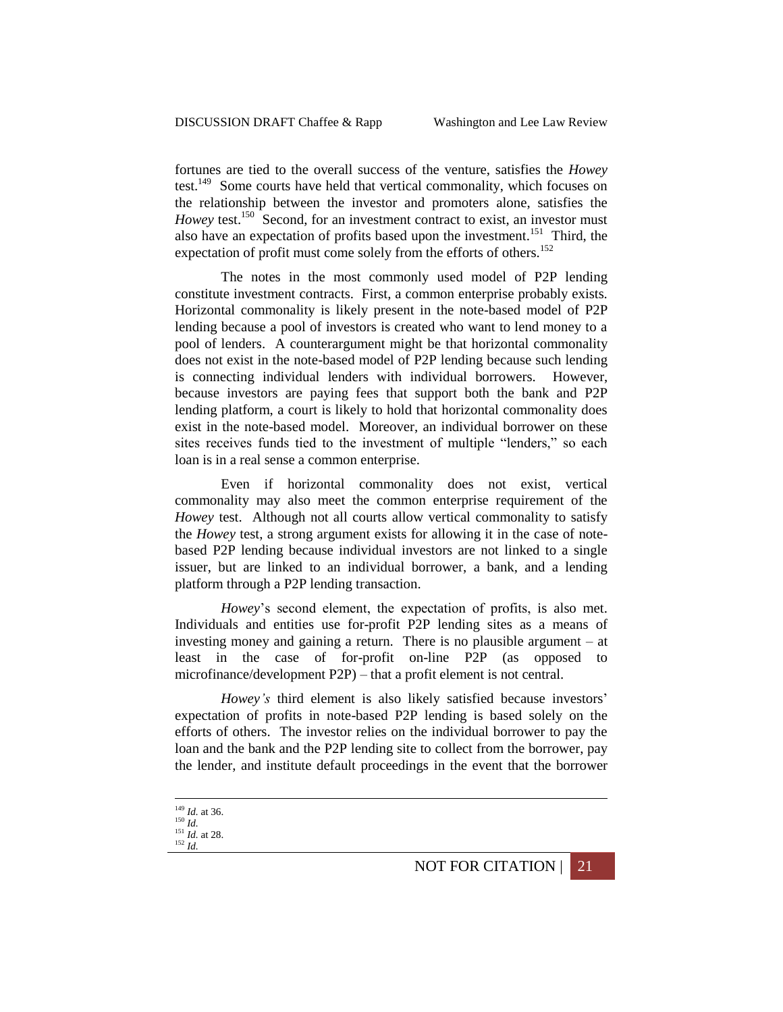fortunes are tied to the overall success of the venture, satisfies the *Howey* test.<sup>149</sup> Some courts have held that vertical commonality, which focuses on the relationship between the investor and promoters alone, satisfies the *Howey* test.<sup>150</sup> Second, for an investment contract to exist, an investor must also have an expectation of profits based upon the investment.<sup>151</sup> Third, the expectation of profit must come solely from the efforts of others.<sup>152</sup>

The notes in the most commonly used model of P2P lending constitute investment contracts. First, a common enterprise probably exists. Horizontal commonality is likely present in the note-based model of P2P lending because a pool of investors is created who want to lend money to a pool of lenders. A counterargument might be that horizontal commonality does not exist in the note-based model of P2P lending because such lending is connecting individual lenders with individual borrowers. However, because investors are paying fees that support both the bank and P2P lending platform, a court is likely to hold that horizontal commonality does exist in the note-based model. Moreover, an individual borrower on these sites receives funds tied to the investment of multiple "lenders," so each loan is in a real sense a common enterprise.

Even if horizontal commonality does not exist, vertical commonality may also meet the common enterprise requirement of the *Howey* test. Although not all courts allow vertical commonality to satisfy the *Howey* test, a strong argument exists for allowing it in the case of notebased P2P lending because individual investors are not linked to a single issuer, but are linked to an individual borrower, a bank, and a lending platform through a P2P lending transaction.

*Howey*'s second element, the expectation of profits, is also met. Individuals and entities use for-profit P2P lending sites as a means of investing money and gaining a return. There is no plausible argument – at least in the case of for-profit on-line P2P (as opposed to microfinance/development P2P) – that a profit element is not central.

*Howey's* third element is also likely satisfied because investors' expectation of profits in note-based P2P lending is based solely on the efforts of others. The investor relies on the individual borrower to pay the loan and the bank and the P2P lending site to collect from the borrower, pay the lender, and institute default proceedings in the event that the borrower

1

NOT FOR CITATION | 21

<sup>149</sup> *Id.* at 36.

<sup>150</sup> *Id.*  $\int_{151}^{141}$  *Id.* at 28.

<sup>152</sup> *Id.*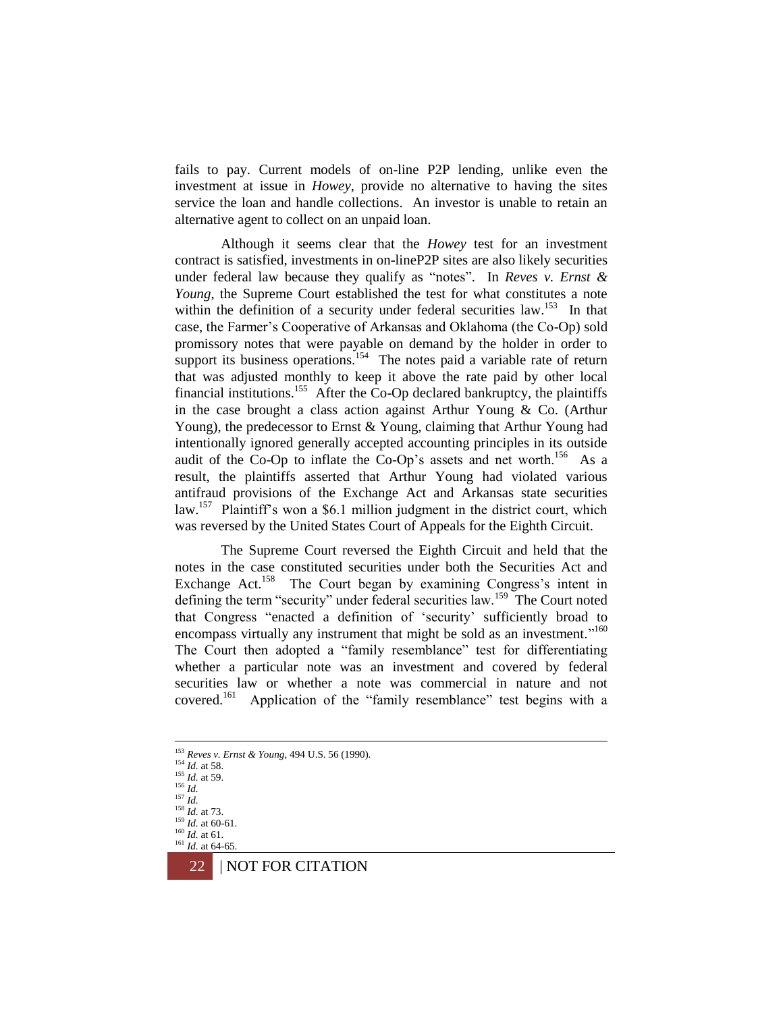fails to pay. Current models of on-line P2P lending, unlike even the investment at issue in *Howey*, provide no alternative to having the sites service the loan and handle collections. An investor is unable to retain an alternative agent to collect on an unpaid loan.

Although it seems clear that the *Howey* test for an investment contract is satisfied, investments in on-lineP2P sites are also likely securities under federal law because they qualify as "notes". In *Reves v. Ernst & Young*, the Supreme Court established the test for what constitutes a note within the definition of a security under federal securities law.<sup>153</sup> In that case, the Farmer's Cooperative of Arkansas and Oklahoma (the Co-Op) sold promissory notes that were payable on demand by the holder in order to support its business operations.<sup>154</sup> The notes paid a variable rate of return that was adjusted monthly to keep it above the rate paid by other local financial institutions.<sup>155</sup> After the Co-Op declared bankruptcy, the plaintiffs in the case brought a class action against Arthur Young & Co. (Arthur Young), the predecessor to Ernst & Young, claiming that Arthur Young had intentionally ignored generally accepted accounting principles in its outside audit of the Co-Op to inflate the Co-Op's assets and net worth.<sup>156</sup> As a result, the plaintiffs asserted that Arthur Young had violated various antifraud provisions of the Exchange Act and Arkansas state securities law.<sup>157</sup> Plaintiff's won a \$6.1 million judgment in the district court, which was reversed by the United States Court of Appeals for the Eighth Circuit.

The Supreme Court reversed the Eighth Circuit and held that the notes in the case constituted securities under both the Securities Act and Exchange Act.<sup>158</sup> The Court began by examining Congress's intent in defining the term "security" under federal securities law.<sup>159</sup> The Court noted that Congress "enacted a definition of 'security' sufficiently broad to encompass virtually any instrument that might be sold as an investment."<sup>160</sup> The Court then adopted a "family resemblance" test for differentiating whether a particular note was an investment and covered by federal securities law or whether a note was commercial in nature and not covered.<sup>161</sup> Application of the "family resemblance" test begins with a

<sup>160</sup> *Id.* at 61.  $161$  *Id.* at 64-65



<sup>153</sup> *Reves v. Ernst & Young*, 494 U.S. 56 (1990).

<sup>154</sup> *Id.* at 58.

<sup>155</sup> *Id.* at 59.  $^{156}$  *Id.* 

<sup>157</sup> *Id.*

<sup>158</sup> *Id.* at 73.

<sup>159</sup> *Id.* at 60-61.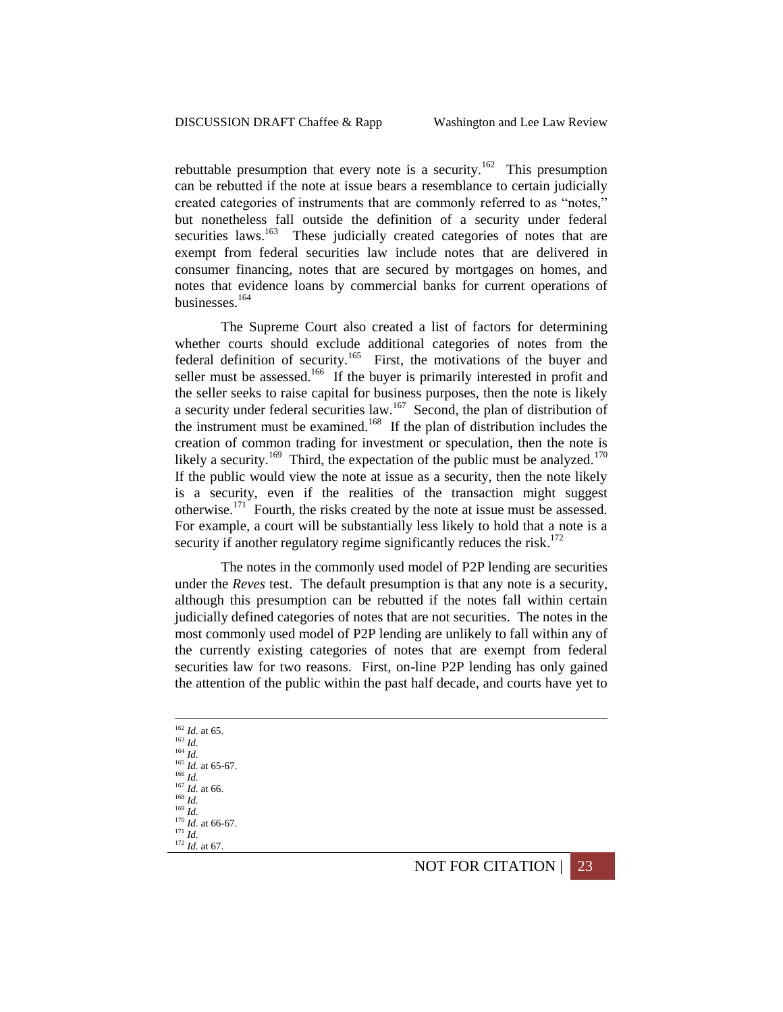rebuttable presumption that every note is a security.<sup>162</sup> This presumption can be rebutted if the note at issue bears a resemblance to certain judicially created categories of instruments that are commonly referred to as "notes," but nonetheless fall outside the definition of a security under federal securities laws.<sup>163</sup> These judicially created categories of notes that are exempt from federal securities law include notes that are delivered in consumer financing, notes that are secured by mortgages on homes, and notes that evidence loans by commercial banks for current operations of businesses.<sup>164</sup>

The Supreme Court also created a list of factors for determining whether courts should exclude additional categories of notes from the federal definition of security.<sup>165</sup> First, the motivations of the buyer and seller must be assessed.<sup>166</sup> If the buyer is primarily interested in profit and the seller seeks to raise capital for business purposes, then the note is likely a security under federal securities  $law<sup>167</sup>$  Second, the plan of distribution of the instrument must be examined.<sup>168</sup> If the plan of distribution includes the creation of common trading for investment or speculation, then the note is likely a security.<sup>169</sup> Third, the expectation of the public must be analyzed.<sup>170</sup> If the public would view the note at issue as a security, then the note likely is a security, even if the realities of the transaction might suggest otherwise.<sup>171</sup> Fourth, the risks created by the note at issue must be assessed. For example, a court will be substantially less likely to hold that a note is a security if another regulatory regime significantly reduces the risk. $172$ 

The notes in the commonly used model of P2P lending are securities under the *Reves* test. The default presumption is that any note is a security, although this presumption can be rebutted if the notes fall within certain judicially defined categories of notes that are not securities. The notes in the most commonly used model of P2P lending are unlikely to fall within any of the currently existing categories of notes that are exempt from federal securities law for two reasons. First, on-line P2P lending has only gained the attention of the public within the past half decade, and courts have yet to

<sup>162</sup> *Id.* at 65. <sup>163</sup> *Id.* <sup>164</sup> *Id.*  $\frac{165}{1}$ *Id.* at 65-67. <sup>166</sup> *Id.*  $^{167}$  *Id.* at 66. <sup>168</sup> *Id.* <sup>169</sup> *Id.* <sup>170</sup> *Id.* at 66-67. <sup>171</sup> *Id.* <sup>172</sup> *Id.* at 67.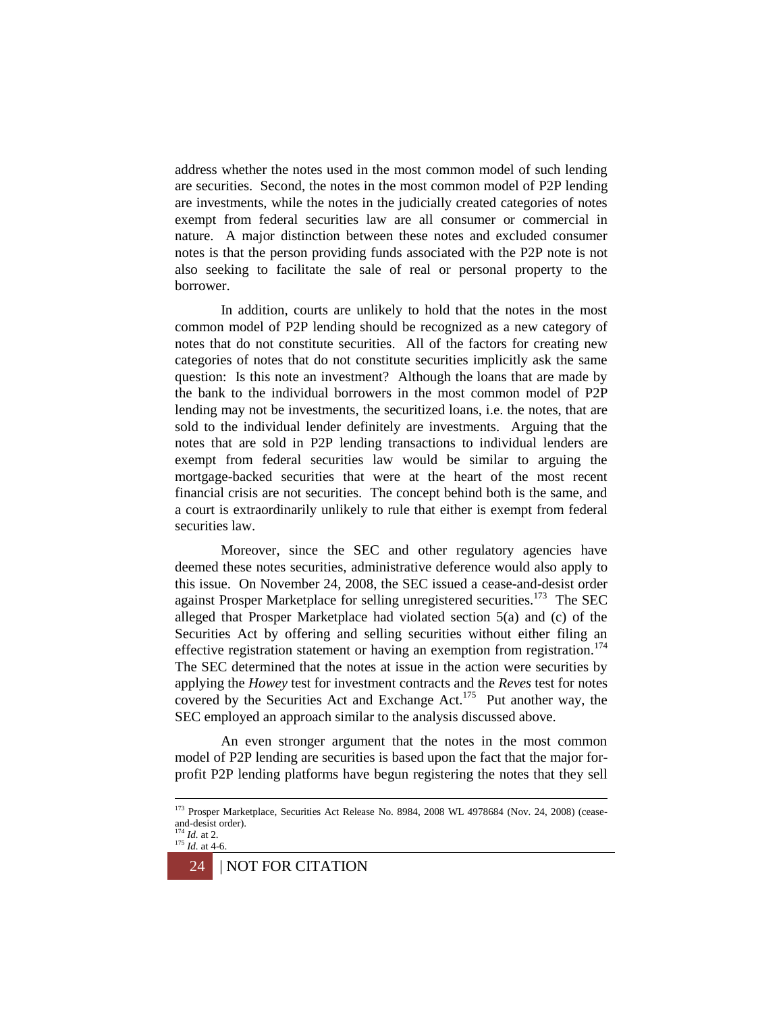address whether the notes used in the most common model of such lending are securities. Second, the notes in the most common model of P2P lending are investments, while the notes in the judicially created categories of notes exempt from federal securities law are all consumer or commercial in nature. A major distinction between these notes and excluded consumer notes is that the person providing funds associated with the P2P note is not also seeking to facilitate the sale of real or personal property to the borrower.

In addition, courts are unlikely to hold that the notes in the most common model of P2P lending should be recognized as a new category of notes that do not constitute securities. All of the factors for creating new categories of notes that do not constitute securities implicitly ask the same question: Is this note an investment? Although the loans that are made by the bank to the individual borrowers in the most common model of P2P lending may not be investments, the securitized loans, i.e. the notes, that are sold to the individual lender definitely are investments. Arguing that the notes that are sold in P2P lending transactions to individual lenders are exempt from federal securities law would be similar to arguing the mortgage-backed securities that were at the heart of the most recent financial crisis are not securities. The concept behind both is the same, and a court is extraordinarily unlikely to rule that either is exempt from federal securities law.

Moreover, since the SEC and other regulatory agencies have deemed these notes securities, administrative deference would also apply to this issue. On November 24, 2008, the SEC issued a cease-and-desist order against Prosper Marketplace for selling unregistered securities.<sup>173</sup> The SEC alleged that Prosper Marketplace had violated section 5(a) and (c) of the Securities Act by offering and selling securities without either filing an effective registration statement or having an exemption from registration.<sup>174</sup> The SEC determined that the notes at issue in the action were securities by applying the *Howey* test for investment contracts and the *Reves* test for notes covered by the Securities Act and Exchange Act.<sup>175</sup> Put another way, the SEC employed an approach similar to the analysis discussed above.

An even stronger argument that the notes in the most common model of P2P lending are securities is based upon the fact that the major forprofit P2P lending platforms have begun registering the notes that they sell

<sup>&</sup>lt;sup>173</sup> Prosper Marketplace, Securities Act Release No. 8984, 2008 WL 4978684 (Nov. 24, 2008) (ceaseand-desist order).

<sup>174</sup> *Id.* at 2.  $175$  *Id.* at 4-6.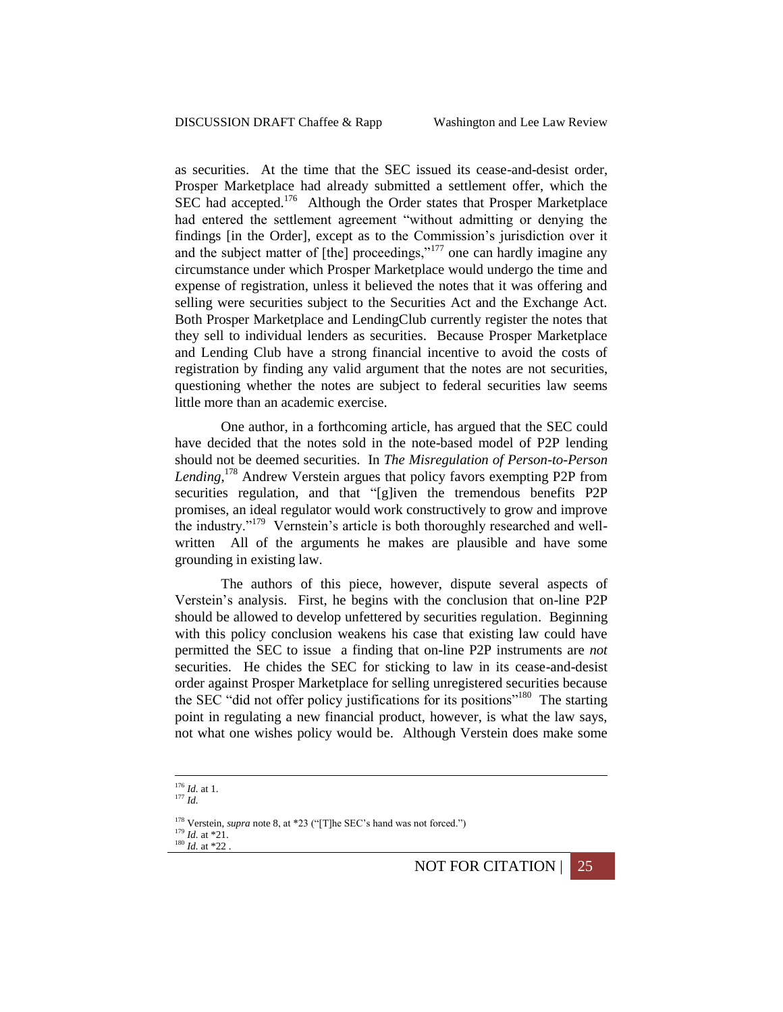as securities. At the time that the SEC issued its cease-and-desist order, Prosper Marketplace had already submitted a settlement offer, which the SEC had accepted.<sup>176</sup> Although the Order states that Prosper Marketplace had entered the settlement agreement "without admitting or denying the findings [in the Order], except as to the Commission's jurisdiction over it and the subject matter of [the] proceedings,"<sup>177</sup> one can hardly imagine any circumstance under which Prosper Marketplace would undergo the time and expense of registration, unless it believed the notes that it was offering and selling were securities subject to the Securities Act and the Exchange Act. Both Prosper Marketplace and LendingClub currently register the notes that they sell to individual lenders as securities. Because Prosper Marketplace and Lending Club have a strong financial incentive to avoid the costs of registration by finding any valid argument that the notes are not securities, questioning whether the notes are subject to federal securities law seems little more than an academic exercise.

One author, in a forthcoming article, has argued that the SEC could have decided that the notes sold in the note-based model of P2P lending should not be deemed securities. In *The Misregulation of Person-to-Person Lending*, <sup>178</sup> Andrew Verstein argues that policy favors exempting P2P from securities regulation, and that "[g]iven the tremendous benefits P2P promises, an ideal regulator would work constructively to grow and improve the industry."<sup>179</sup> Vernstein's article is both thoroughly researched and wellwritten All of the arguments he makes are plausible and have some grounding in existing law.

The authors of this piece, however, dispute several aspects of Verstein's analysis. First, he begins with the conclusion that on-line P2P should be allowed to develop unfettered by securities regulation. Beginning with this policy conclusion weakens his case that existing law could have permitted the SEC to issue a finding that on-line P2P instruments are *not*  securities. He chides the SEC for sticking to law in its cease-and-desist order against Prosper Marketplace for selling unregistered securities because the SEC "did not offer policy justifications for its positions"<sup>180</sup> The starting point in regulating a new financial product, however, is what the law says, not what one wishes policy would be. Although Verstein does make some

<sup>177</sup> *Id.*

<sup>176</sup> *Id.* at 1.

<sup>178</sup> Verstein, *supra* not[e 8,](#page-1-1) at \*23 ("[T]he SEC's hand was not forced.") <sup>179</sup> *Id.* at \*21.  $180$  *Id.* at \*22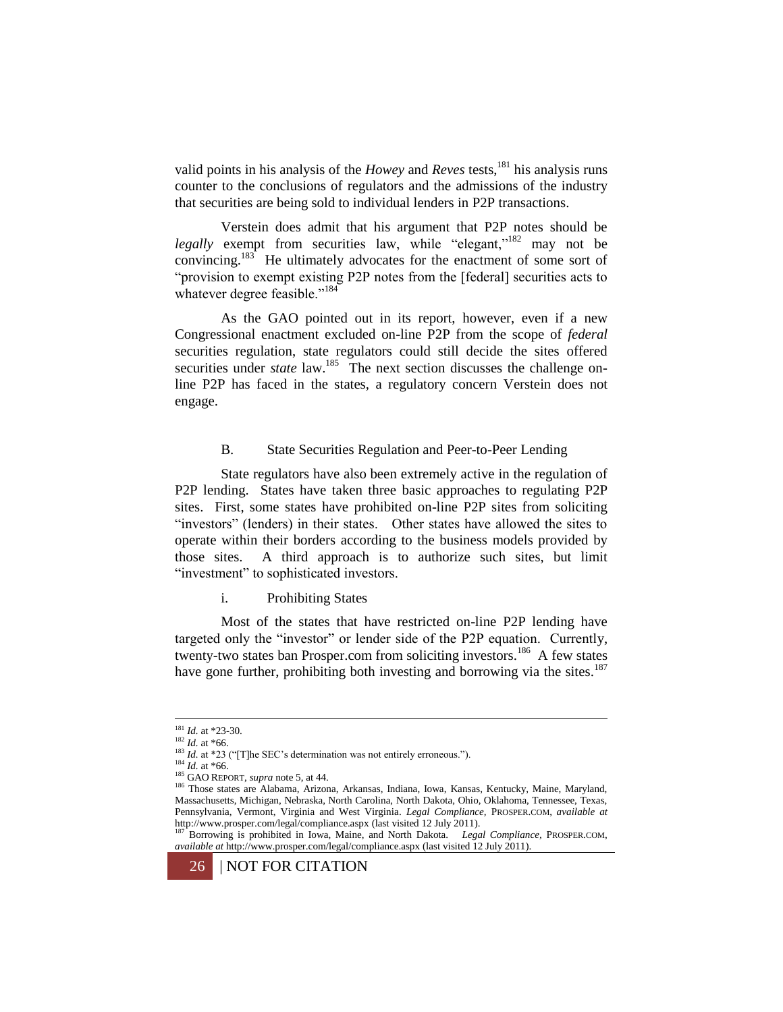valid points in his analysis of the *Howey* and *Reves* tests, <sup>181</sup> his analysis runs counter to the conclusions of regulators and the admissions of the industry that securities are being sold to individual lenders in P2P transactions.

Verstein does admit that his argument that P2P notes should be *legally* exempt from securities law, while "elegant,"<sup>182</sup> may not be convincing.<sup>183</sup> He ultimately advocates for the enactment of some sort of "provision to exempt existing P2P notes from the [federal] securities acts to whatever degree feasible."<sup>184</sup>

As the GAO pointed out in its report, however, even if a new Congressional enactment excluded on-line P2P from the scope of *federal* securities regulation, state regulators could still decide the sites offered securities under *state* law.<sup>185</sup> The next section discusses the challenge online P2P has faced in the states, a regulatory concern Verstein does not engage.

### B. State Securities Regulation and Peer-to-Peer Lending

State regulators have also been extremely active in the regulation of P2P lending. States have taken three basic approaches to regulating P2P sites. First, some states have prohibited on-line P2P sites from soliciting "investors" (lenders) in their states. Other states have allowed the sites to operate within their borders according to the business models provided by those sites. A third approach is to authorize such sites, but limit "investment" to sophisticated investors.

i. Prohibiting States

Most of the states that have restricted on-line P2P lending have targeted only the "investor" or lender side of the P2P equation. Currently, twenty-two states ban Prosper.com from soliciting investors.<sup>186</sup> A few states have gone further, prohibiting both investing and borrowing via the sites.<sup>187</sup>

<sup>181</sup> *Id.* at \*23-30.

<sup>182</sup> *Id.* at \*66.

<sup>&</sup>lt;sup>183</sup> *Id.* at \*23 ("[T]he SEC's determination was not entirely erroneous.").

 $^{184}$  *Id.* at \*66.

<sup>185</sup> GAO REPORT, *supra* note 5, at 44.

<sup>186</sup> Those states are Alabama, Arizona, Arkansas, Indiana, Iowa, Kansas, Kentucky, Maine, Maryland, Massachusetts, Michigan, Nebraska, North Carolina, North Dakota, Ohio, Oklahoma, Tennessee, Texas, Pennsylvania, Vermont, Virginia and West Virginia. *Legal Compliance,* PROSPER.COM, *available at*  http://www.prosper.com/legal/compliance.aspx (last visited 12 July 2011).

<sup>187</sup> Borrowing is prohibited in Iowa, Maine, and North Dakota. *Legal Compliance,* PROSPER.COM, *available at* http://www.prosper.com/legal/compliance.aspx (last visited 12 July 2011).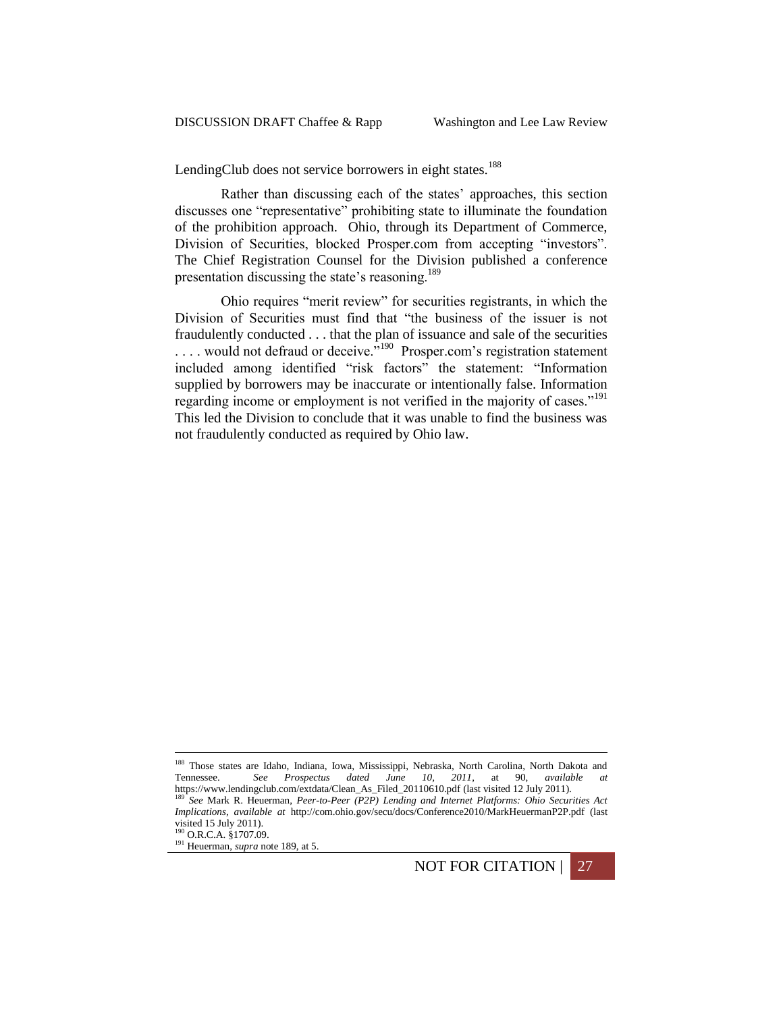LendingClub does not service borrowers in eight states.<sup>188</sup>

Rather than discussing each of the states' approaches, this section discusses one "representative" prohibiting state to illuminate the foundation of the prohibition approach. Ohio, through its Department of Commerce, Division of Securities, blocked Prosper.com from accepting "investors". The Chief Registration Counsel for the Division published a conference presentation discussing the state's reasoning.<sup>189</sup>

<span id="page-26-0"></span>Ohio requires "merit review" for securities registrants, in which the Division of Securities must find that "the business of the issuer is not fraudulently conducted . . . that the plan of issuance and sale of the securities  $\dots$  would not defraud or deceive.<sup>5190</sup> Prosper.com's registration statement included among identified "risk factors" the statement: "Information supplied by borrowers may be inaccurate or intentionally false. Information regarding income or employment is not verified in the majority of cases."<sup>191</sup> This led the Division to conclude that it was unable to find the business was not fraudulently conducted as required by Ohio law.

1

NOT FOR CITATION | 27

<sup>&</sup>lt;sup>188</sup> Those states are Idaho, Indiana, Iowa, Mississippi, Nebraska, North Carolina, North Dakota and Tennessee. *See Prospectus dated June 10, 2011*, at 90, *available at*  https://www.lendingclub.com/extdata/Clean\_As\_Filed\_20110610.pdf (last visited 12 July 2011). <sup>189</sup> *See* Mark R. Heuerman, *Peer-to-Peer (P2P) Lending and Internet Platforms: Ohio Securities Act Implications*, *available at* http://com.ohio.gov/secu/docs/Conference2010/MarkHeuermanP2P.pdf (last visited 15 July 2011). <sup>190</sup> O.R.C.A. §1707.09.

<sup>&</sup>lt;sup>191</sup> Heuerman, *supra* not[e 189,](#page-26-0) at 5.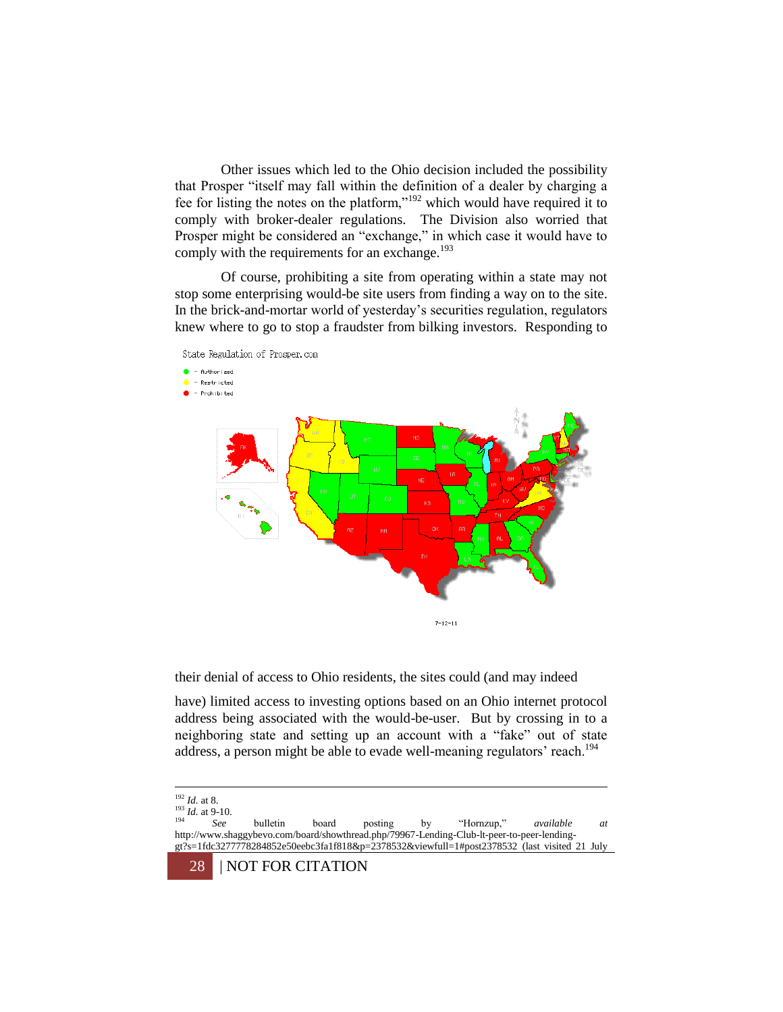Other issues which led to the Ohio decision included the possibility that Prosper "itself may fall within the definition of a dealer by charging a fee for listing the notes on the platform,"<sup>192</sup> which would have required it to comply with broker-dealer regulations. The Division also worried that Prosper might be considered an "exchange," in which case it would have to comply with the requirements for an exchange. $193$ 

Of course, prohibiting a site from operating within a state may not stop some enterprising would-be site users from finding a way on to the site. In the brick-and-mortar world of yesterday's securities regulation, regulators knew where to go to stop a fraudster from bilking investors. Responding to



their denial of access to Ohio residents, the sites could (and may indeed

have) limited access to investing options based on an Ohio internet protocol address being associated with the would-be-user. But by crossing in to a neighboring state and setting up an account with a "fake" out of state address, a person might be able to evade well-meaning regulators' reach.<sup>194</sup>

<sup>192</sup> *Id.* at 8.

 $\frac{193}{194}$  *Id.* at 9-10.

<sup>194</sup> *See* bulletin board posting by "Hornzup," *available at*  http://www.shaggybevo.com/board/showthread.php/79967-Lending-Club-lt-peer-to-peer-lendinggt?s=1fdc3277778284852e50eebc3fa1f818&p=2378532&viewfull=1#post2378532 (last visited 21 July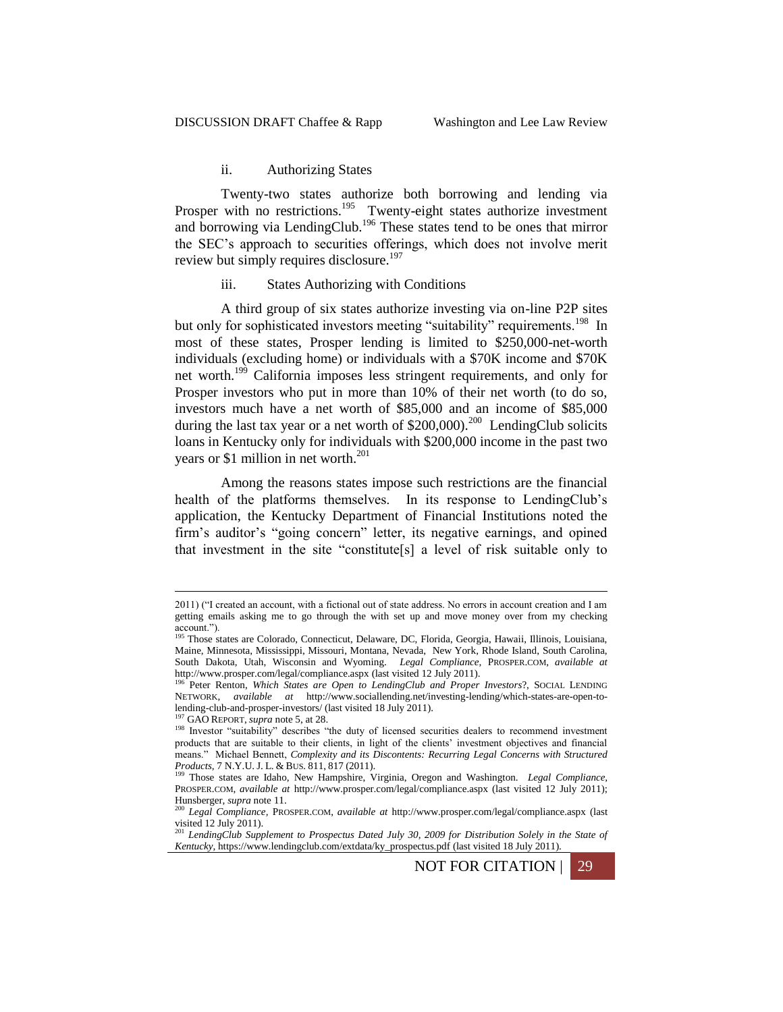### ii. Authorizing States

Twenty-two states authorize both borrowing and lending via Prosper with no restrictions.<sup>195</sup> Twenty-eight states authorize investment and borrowing via LendingClub.<sup>196</sup> These states tend to be ones that mirror the SEC's approach to securities offerings, which does not involve merit review but simply requires disclosure.<sup>197</sup>

#### iii. States Authorizing with Conditions

A third group of six states authorize investing via on-line P2P sites but only for sophisticated investors meeting "suitability" requirements.<sup>198</sup> In most of these states, Prosper lending is limited to \$250,000-net-worth individuals (excluding home) or individuals with a \$70K income and \$70K net worth.<sup>199</sup> California imposes less stringent requirements, and only for Prosper investors who put in more than 10% of their net worth (to do so, investors much have a net worth of \$85,000 and an income of \$85,000 during the last tax year or a net worth of  $$200,000$ .<sup>200</sup> LendingClub solicits loans in Kentucky only for individuals with \$200,000 income in the past two years or \$1 million in net worth. $^{201}$ 

Among the reasons states impose such restrictions are the financial health of the platforms themselves. In its response to LendingClub's application, the Kentucky Department of Financial Institutions noted the firm's auditor's "going concern" letter, its negative earnings, and opined that investment in the site "constitute[s] a level of risk suitable only to

1

NOT FOR CITATION | 29

<sup>2011) (&</sup>quot;I created an account, with a fictional out of state address. No errors in account creation and I am getting emails asking me to go through the with set up and move money over from my checking account.").<br><sup>195</sup> Those states are Colorado, Connecticut, Delaware, DC, Florida, Georgia, Hawaii, Illinois, Louisiana,

Maine, Minnesota, Mississippi, Missouri, Montana, Nevada, New York, Rhode Island, South Carolina, South Dakota, Utah, Wisconsin and Wyoming. *Legal Compliance,* PROSPER.COM, *available at*  http://www.prosper.com/legal/compliance.aspx (last visited 12 July 2011).

<sup>196</sup> Peter Renton, *Which States are Open to LendingClub and Proper Investors*?, SOCIAL LENDING NETWORK, *available at* http://www.sociallending.net/investing-lending/which-states-are-open-tolending-club-and-prosper-investors/ (last visited 18 July 2011).

<sup>197</sup> GAO REPORT, *supra* not[e 5,](#page-1-0) at 28.

<sup>&</sup>lt;sup>198</sup> Investor "suitability" describes "the duty of licensed securities dealers to recommend investment products that are suitable to their clients, in light of the clients' investment objectives and financial means." Michael Bennett, *Complexity and its Discontents: Recurring Legal Concerns with Structured Products, 7 N.Y.U. J. L. & BUS. 811, 817 (2011).*<br><sup>199</sup> Those states are Idaho, Naw Homoshiro, V.

<sup>199</sup> Those states are Idaho, New Hampshire, Virginia, Oregon and Washington. *Legal Compliance,*  PROSPER.COM, *available at* http://www.prosper.com/legal/compliance.aspx (last visited 12 July 2011); Hunsberger, *supra* not[e 11.](#page-2-1)

<sup>200</sup> *Legal Compliance,* PROSPER.COM, *available at* http://www.prosper.com/legal/compliance.aspx (last visited 12 July 2011).

<sup>201</sup> *LendingClub Supplement to Prospectus Dated July 30, 2009 for Distribution Solely in the State of Kentucky*, https://www.lendingclub.com/extdata/ky\_prospectus.pdf (last visited 18 July 2011).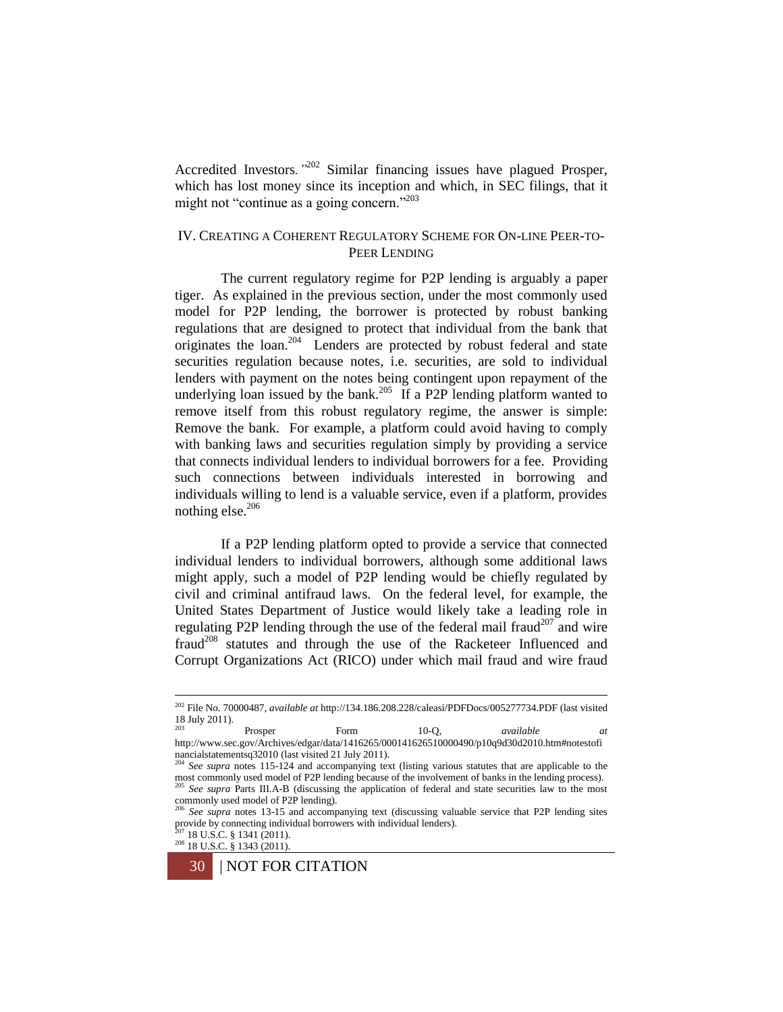Accredited Investors*."*<sup>202</sup> Similar financing issues have plagued Prosper, which has lost money since its inception and which, in SEC filings, that it might not "continue as a going concern."<sup>203</sup>

# IV. CREATING A COHERENT REGULATORY SCHEME FOR ON-LINE PEER-TO-PEER LENDING

The current regulatory regime for P2P lending is arguably a paper tiger. As explained in the previous section, under the most commonly used model for P2P lending, the borrower is protected by robust banking regulations that are designed to protect that individual from the bank that originates the loan.<sup>204</sup> Lenders are protected by robust federal and state securities regulation because notes, i.e. securities, are sold to individual lenders with payment on the notes being contingent upon repayment of the underlying loan issued by the bank.<sup>205</sup> If a P2P lending platform wanted to remove itself from this robust regulatory regime, the answer is simple: Remove the bank. For example, a platform could avoid having to comply with banking laws and securities regulation simply by providing a service that connects individual lenders to individual borrowers for a fee. Providing such connections between individuals interested in borrowing and individuals willing to lend is a valuable service, even if a platform, provides nothing else. $206$ 

If a P2P lending platform opted to provide a service that connected individual lenders to individual borrowers, although some additional laws might apply, such a model of P2P lending would be chiefly regulated by civil and criminal antifraud laws. On the federal level, for example, the United States Department of Justice would likely take a leading role in regulating P2P lending through the use of the federal mail fraud<sup>207</sup> and wire fraud<sup>208</sup> statutes and through the use of the Racketeer Influenced and Corrupt Organizations Act (RICO) under which mail fraud and wire fraud

18 U.S.C. § 1341 (2011).

<sup>202</sup> File No. 70000487, *available at* http://134.186.208.228/caleasi/PDFDocs/005277734.PDF (last visited  $18$  July 2011).

<sup>203</sup> Prosper Form 10-Q, *available at*  http://www.sec.gov/Archives/edgar/data/1416265/000141626510000490/p10q9d30d2010.htm#notestofi nancialstatementsq32010 (last visited 21 July 2011). <sup>204</sup> *See supra* notes 115-124 and accompanying text (listing various statutes that are applicable to the

most commonly used model of P2P lending because of the involvement of banks in the lending process).<br><sup>205</sup> See surve Parts III A P (diagraphics di <sup>205</sup> *See supra* Parts III.A-B (discussing the application of federal and state securities law to the most commonly used model of P2P lending).<br> $^{206}$  See super a the 10 15

<sup>206</sup> *See supra* notes 13-15 and accompanying text (discussing valuable service that P2P lending sites provide by connecting individual borrowers with individual lenders).

<sup>208</sup> 18 U.S.C. § 1343 (2011).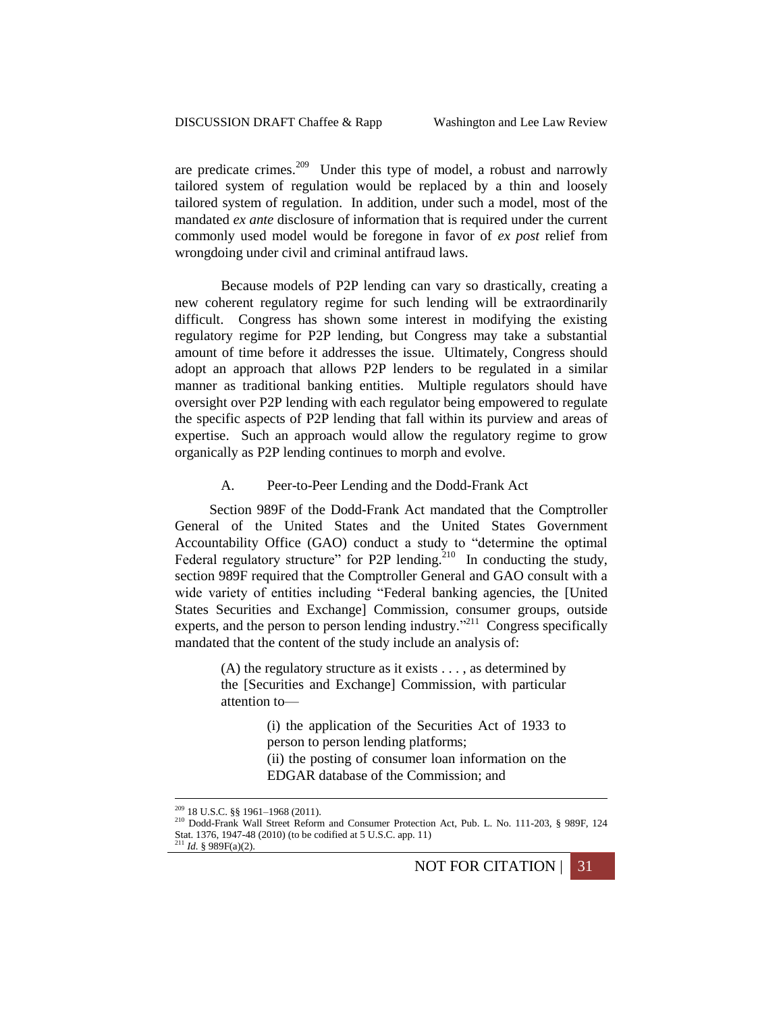are predicate crimes.<sup>209</sup> Under this type of model, a robust and narrowly tailored system of regulation would be replaced by a thin and loosely tailored system of regulation. In addition, under such a model, most of the mandated *ex ante* disclosure of information that is required under the current commonly used model would be foregone in favor of *ex post* relief from wrongdoing under civil and criminal antifraud laws.

Because models of P2P lending can vary so drastically, creating a new coherent regulatory regime for such lending will be extraordinarily difficult. Congress has shown some interest in modifying the existing regulatory regime for P2P lending, but Congress may take a substantial amount of time before it addresses the issue. Ultimately, Congress should adopt an approach that allows P2P lenders to be regulated in a similar manner as traditional banking entities. Multiple regulators should have oversight over P2P lending with each regulator being empowered to regulate the specific aspects of P2P lending that fall within its purview and areas of expertise. Such an approach would allow the regulatory regime to grow organically as P2P lending continues to morph and evolve.

# A. Peer-to-Peer Lending and the Dodd-Frank Act

Section 989F of the Dodd-Frank Act mandated that the Comptroller General of the United States and the United States Government Accountability Office (GAO) conduct a study to "determine the optimal Federal regulatory structure" for P2P lending.<sup>210</sup> In conducting the study, section 989F required that the Comptroller General and GAO consult with a wide variety of entities including "Federal banking agencies, the [United States Securities and Exchange] Commission, consumer groups, outside experts, and the person to person lending industry."<sup>211</sup> Congress specifically mandated that the content of the study include an analysis of:

> $(A)$  the regulatory structure as it exists  $\dots$ , as determined by the [Securities and Exchange] Commission, with particular attention to—

> > (i) the application of the Securities Act of 1933 to person to person lending platforms;

> > (ii) the posting of consumer loan information on the EDGAR database of the Commission; and

1

NOT FOR CITATION | 31

<sup>209</sup> 18 U.S.C. §§ 1961–1968 (2011).

<sup>210</sup> Dodd-Frank Wall Street Reform and Consumer Protection Act, Pub. L. No. 111-203, § 989F, 124 Stat. 1376, 1947-48 (2010) (to be codified at 5 U.S.C. app. 11)<br> $^{211}$  L4 8 080F/s/2N

 $1$  *Id.* § 989F(a)(2).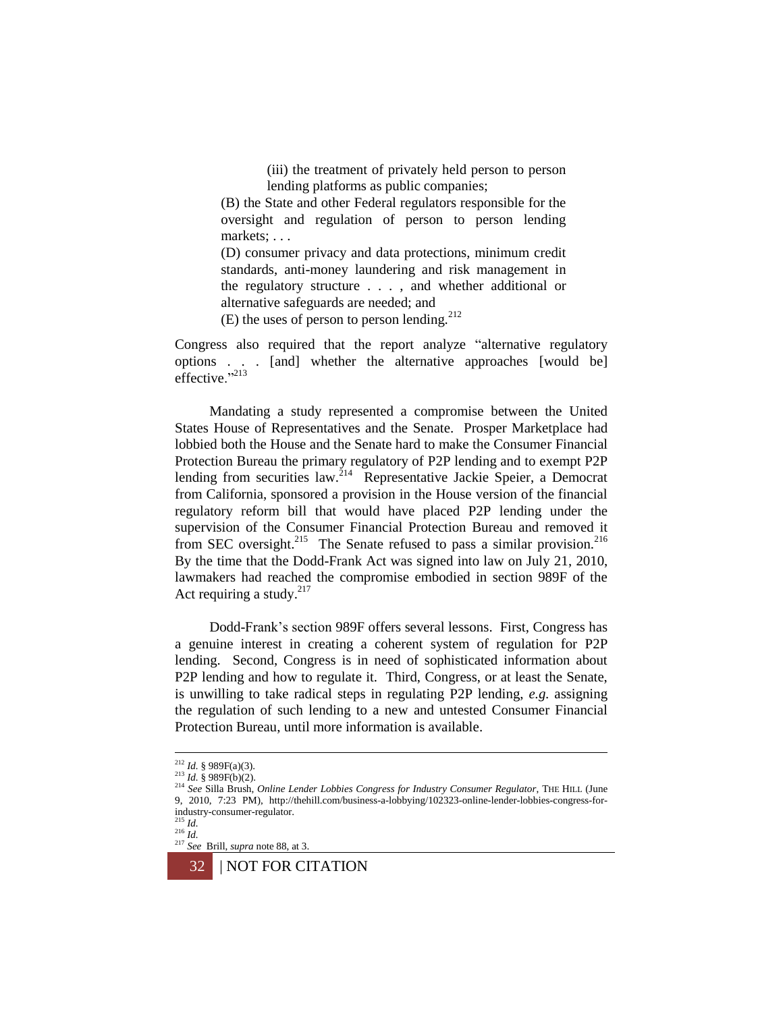(iii) the treatment of privately held person to person lending platforms as public companies;

(B) the State and other Federal regulators responsible for the oversight and regulation of person to person lending markets; . . .

(D) consumer privacy and data protections, minimum credit standards, anti-money laundering and risk management in the regulatory structure . . . , and whether additional or alternative safeguards are needed; and

(E) the uses of person to person lending. $^{212}$ 

Congress also required that the report analyze "alternative regulatory options . . . [and] whether the alternative approaches [would be] effective."<sup>213</sup>

Mandating a study represented a compromise between the United States House of Representatives and the Senate. Prosper Marketplace had lobbied both the House and the Senate hard to make the Consumer Financial Protection Bureau the primary regulatory of P2P lending and to exempt P2P lending from securities law.<sup>214</sup> Representative Jackie Speier, a Democrat from California, sponsored a provision in the House version of the financial regulatory reform bill that would have placed P2P lending under the supervision of the Consumer Financial Protection Bureau and removed it from SEC oversight.<sup>215</sup> The Senate refused to pass a similar provision.<sup>216</sup> By the time that the Dodd-Frank Act was signed into law on July 21, 2010, lawmakers had reached the compromise embodied in section 989F of the Act requiring a study.<sup>217</sup>

Dodd-Frank's section 989F offers several lessons. First, Congress has a genuine interest in creating a coherent system of regulation for P2P lending. Second, Congress is in need of sophisticated information about P2P lending and how to regulate it. Third, Congress, or at least the Senate, is unwilling to take radical steps in regulating P2P lending, *e.g.* assigning the regulation of such lending to a new and untested Consumer Financial Protection Bureau, until more information is available.

<sup>217</sup> *See* Brill, *supra* note 88, at 3.



<sup>212</sup> *Id.* § 989F(a)(3).

<sup>213</sup> *Id.* § 989F(b)(2).

<sup>214</sup> *See* Silla Brush, *Online Lender Lobbies Congress for Industry Consumer Regulator*, THE HILL (June 9, 2010, 7:23 PM), http://thehill.com/business-a-lobbying/102323-online-lender-lobbies-congress-forindustry-consumer-regulator. <sup>215</sup> *Id.*

<sup>216</sup> *Id.*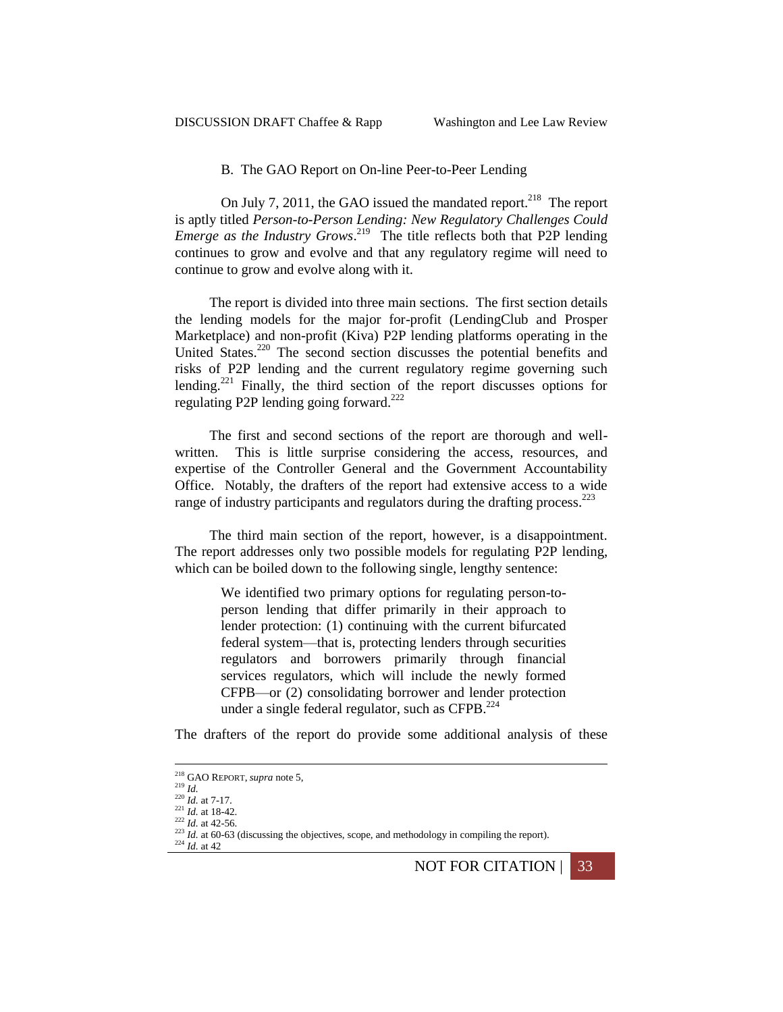# B. The GAO Report on On-line Peer-to-Peer Lending

On July 7, 2011, the GAO issued the mandated report.<sup>218</sup> The report is aptly titled *Person-to-Person Lending: New Regulatory Challenges Could Emerge as the Industry Grows*. 219 The title reflects both that P2P lending continues to grow and evolve and that any regulatory regime will need to continue to grow and evolve along with it.

The report is divided into three main sections. The first section details the lending models for the major for-profit (LendingClub and Prosper Marketplace) and non-profit (Kiva) P2P lending platforms operating in the United States.<sup>220</sup> The second section discusses the potential benefits and risks of P2P lending and the current regulatory regime governing such lending.<sup>221</sup> Finally, the third section of the report discusses options for regulating P2P lending going forward.<sup>222</sup>

The first and second sections of the report are thorough and wellwritten. This is little surprise considering the access, resources, and expertise of the Controller General and the Government Accountability Office. Notably, the drafters of the report had extensive access to a wide range of industry participants and regulators during the drafting process.<sup>223</sup>

The third main section of the report, however, is a disappointment. The report addresses only two possible models for regulating P2P lending, which can be boiled down to the following single, lengthy sentence:

> We identified two primary options for regulating person-toperson lending that differ primarily in their approach to lender protection: (1) continuing with the current bifurcated federal system—that is, protecting lenders through securities regulators and borrowers primarily through financial services regulators, which will include the newly formed CFPB—or (2) consolidating borrower and lender protection under a single federal regulator, such as  $CFPB$ .<sup>224</sup>

The drafters of the report do provide some additional analysis of these

1

NOT FOR CITATION | 33

<sup>218</sup> GAO REPORT, *supra* note [5,](#page-1-0)

<sup>219</sup> *Id.*

 $^{220}$  *Id.* at 7-17.  $^{221}$  *Id.* at 18-42.

 $\frac{222}{1}$ *Id.* at 42-56.

 $223$  *Id.* at 60-63 (discussing the objectives, scope, and methodology in compiling the report).

<sup>224</sup> *Id.* at 42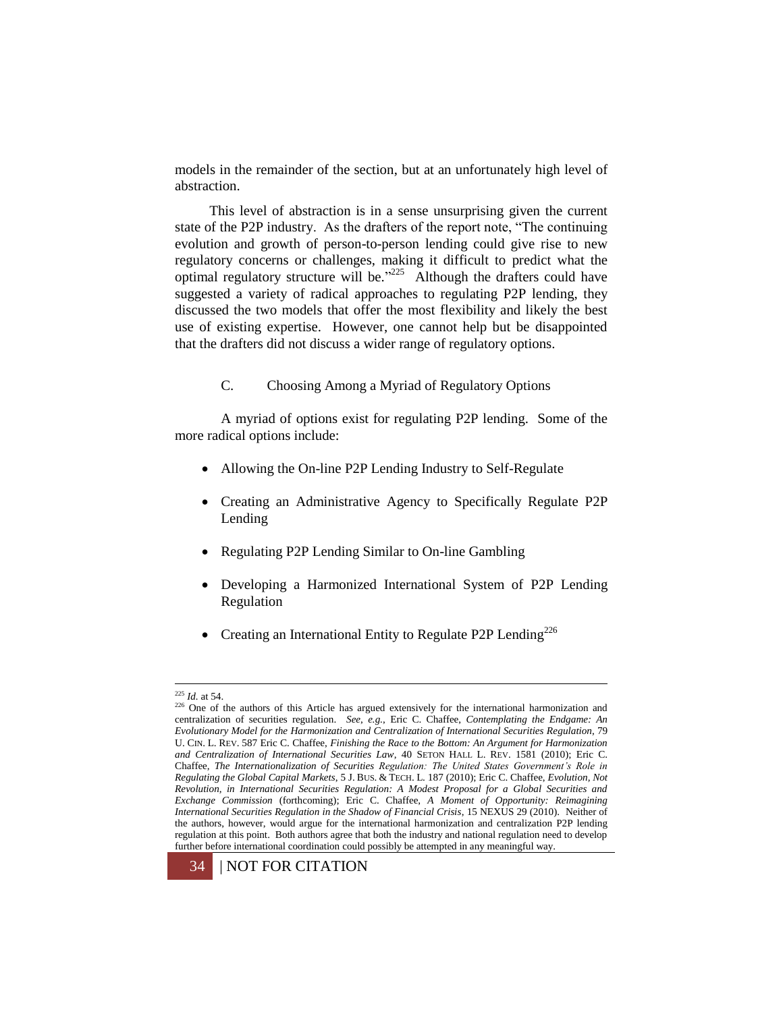models in the remainder of the section, but at an unfortunately high level of abstraction.

This level of abstraction is in a sense unsurprising given the current state of the P2P industry. As the drafters of the report note, "The continuing evolution and growth of person-to-person lending could give rise to new regulatory concerns or challenges, making it difficult to predict what the optimal regulatory structure will be." $225$  Although the drafters could have suggested a variety of radical approaches to regulating P2P lending, they discussed the two models that offer the most flexibility and likely the best use of existing expertise. However, one cannot help but be disappointed that the drafters did not discuss a wider range of regulatory options.

C. Choosing Among a Myriad of Regulatory Options

A myriad of options exist for regulating P2P lending. Some of the more radical options include:

- Allowing the On-line P2P Lending Industry to Self-Regulate
- Creating an Administrative Agency to Specifically Regulate P2P Lending
- Regulating P2P Lending Similar to On-line Gambling
- Developing a Harmonized International System of P2P Lending Regulation
- Creating an International Entity to Regulate P2P Lending<sup>226</sup>

<sup>&</sup>lt;sup>226</sup> One of the authors of this Article has argued extensively for the international harmonization and centralization of securities regulation. *See*, *e.g.*, Eric C. Chaffee, *Contemplating the Endgame: An Evolutionary Model for the Harmonization and Centralization of International Securities Regulation*, 79 U. CIN. L. REV. 587 Eric C. Chaffee, *Finishing the Race to the Bottom: An Argument for Harmonization and Centralization of International Securities Law*, 40 SETON HALL L. REV. 1581 (2010); Eric C. Chaffee, *The Internationalization of Securities Regulation: The United States Government's Role in Regulating the Global Capital Markets*, 5 J. BUS. & TECH. L. 187 (2010); Eric C. Chaffee, *Evolution, Not Revolution, in International Securities Regulation: A Modest Proposal for a Global Securities and Exchange Commission* (forthcoming); Eric C. Chaffee, *A Moment of Opportunity: Reimagining International Securities Regulation in the Shadow of Financial Crisis*, 15 NEXUS 29 (2010). Neither of the authors, however, would argue for the international harmonization and centralization P2P lending regulation at this point. Both authors agree that both the industry and national regulation need to develop further before international coordination could possibly be attempted in any meaningful way.



<sup>225</sup> *Id.* at 54.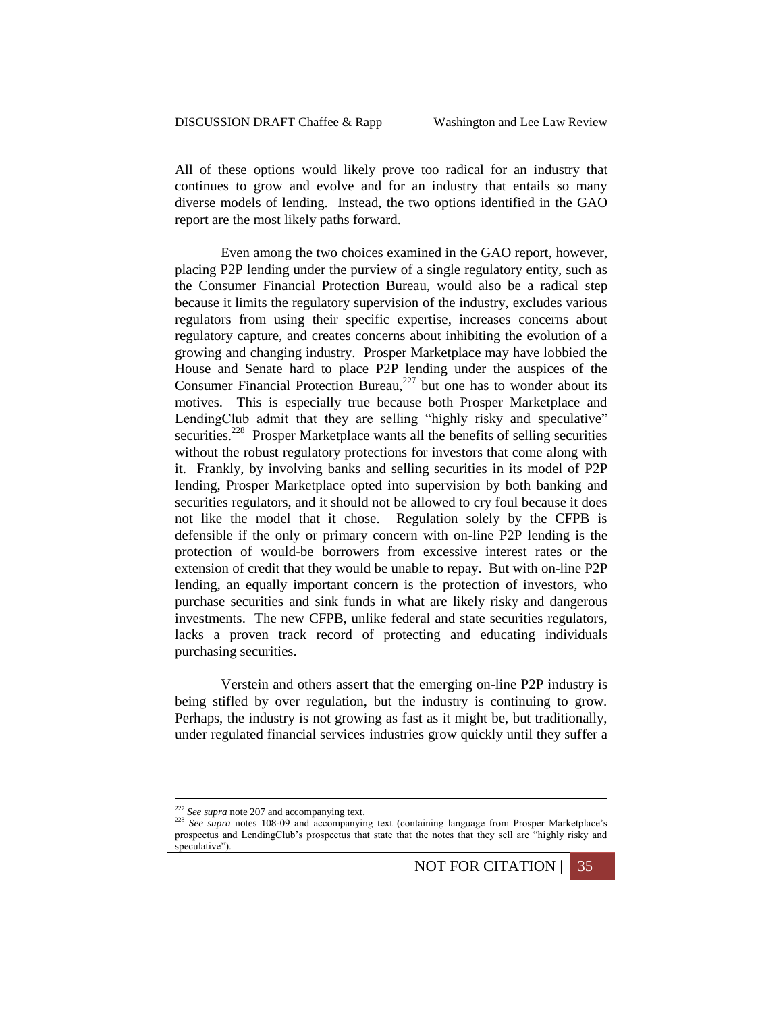All of these options would likely prove too radical for an industry that continues to grow and evolve and for an industry that entails so many diverse models of lending. Instead, the two options identified in the GAO report are the most likely paths forward.

Even among the two choices examined in the GAO report, however, placing P2P lending under the purview of a single regulatory entity, such as the Consumer Financial Protection Bureau, would also be a radical step because it limits the regulatory supervision of the industry, excludes various regulators from using their specific expertise, increases concerns about regulatory capture, and creates concerns about inhibiting the evolution of a growing and changing industry. Prosper Marketplace may have lobbied the House and Senate hard to place P2P lending under the auspices of the Consumer Financial Protection Bureau, $227$  but one has to wonder about its motives. This is especially true because both Prosper Marketplace and LendingClub admit that they are selling "highly risky and speculative" securities.<sup>228</sup> Prosper Marketplace wants all the benefits of selling securities without the robust regulatory protections for investors that come along with it. Frankly, by involving banks and selling securities in its model of P2P lending, Prosper Marketplace opted into supervision by both banking and securities regulators, and it should not be allowed to cry foul because it does not like the model that it chose. Regulation solely by the CFPB is defensible if the only or primary concern with on-line P2P lending is the protection of would-be borrowers from excessive interest rates or the extension of credit that they would be unable to repay. But with on-line P2P lending, an equally important concern is the protection of investors, who purchase securities and sink funds in what are likely risky and dangerous investments. The new CFPB, unlike federal and state securities regulators, lacks a proven track record of protecting and educating individuals purchasing securities.

Verstein and others assert that the emerging on-line P2P industry is being stifled by over regulation, but the industry is continuing to grow. Perhaps, the industry is not growing as fast as it might be, but traditionally, under regulated financial services industries grow quickly until they suffer a

1

NOT FOR CITATION | 35

<sup>&</sup>lt;sup>227</sup> See supra note 207 and accompanying text.

<sup>&</sup>lt;sup>228</sup> See supra notes 108-09 and accompanying text (containing language from Prosper Marketplace's prospectus and LendingClub's prospectus that state that the notes that they sell are "highly risky and speculative").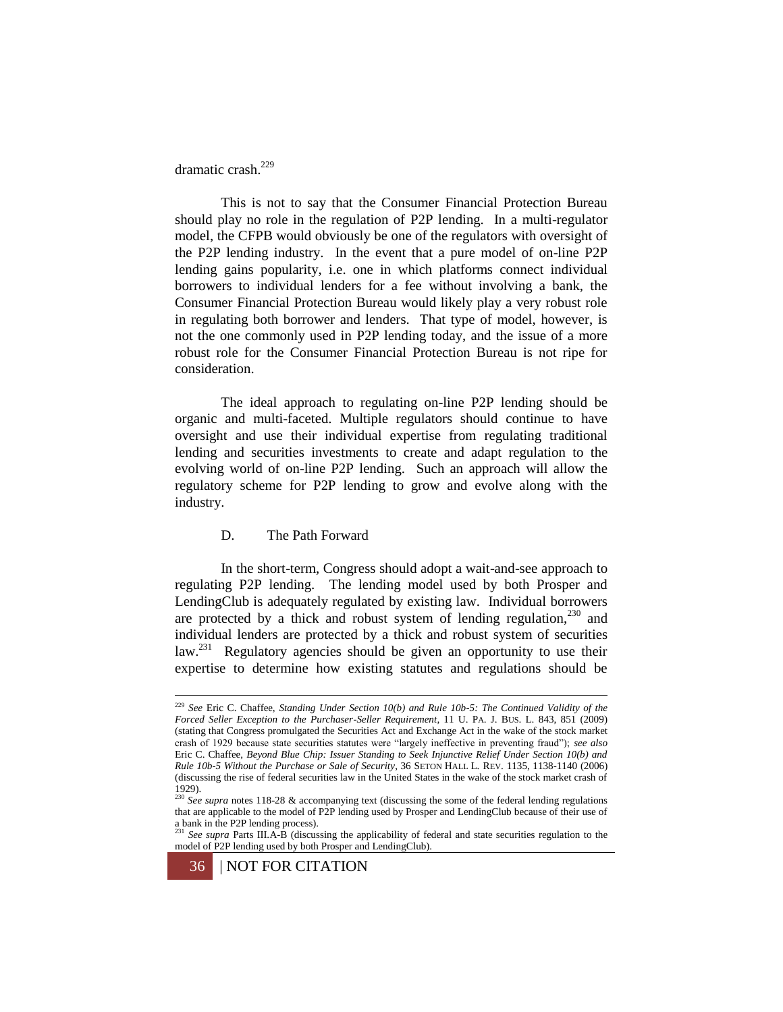dramatic crash. 229

This is not to say that the Consumer Financial Protection Bureau should play no role in the regulation of P2P lending. In a multi-regulator model, the CFPB would obviously be one of the regulators with oversight of the P2P lending industry. In the event that a pure model of on-line P2P lending gains popularity, i.e. one in which platforms connect individual borrowers to individual lenders for a fee without involving a bank, the Consumer Financial Protection Bureau would likely play a very robust role in regulating both borrower and lenders. That type of model, however, is not the one commonly used in P2P lending today, and the issue of a more robust role for the Consumer Financial Protection Bureau is not ripe for consideration.

The ideal approach to regulating on-line P2P lending should be organic and multi-faceted. Multiple regulators should continue to have oversight and use their individual expertise from regulating traditional lending and securities investments to create and adapt regulation to the evolving world of on-line P2P lending. Such an approach will allow the regulatory scheme for P2P lending to grow and evolve along with the industry.

# D. The Path Forward

In the short-term, Congress should adopt a wait-and-see approach to regulating P2P lending. The lending model used by both Prosper and LendingClub is adequately regulated by existing law. Individual borrowers are protected by a thick and robust system of lending regulation, $230$  and individual lenders are protected by a thick and robust system of securities law.<sup>231</sup> Regulatory agencies should be given an opportunity to use their expertise to determine how existing statutes and regulations should be

<sup>229</sup> *See* Eric C. Chaffee, *Standing Under Section 10(b) and Rule 10b-5: The Continued Validity of the Forced Seller Exception to the Purchaser-Seller Requirement*, 11 U. PA. J. BUS. L. 843, 851 (2009) (stating that Congress promulgated the Securities Act and Exchange Act in the wake of the stock market crash of 1929 because state securities statutes were "largely ineffective in preventing fraud"); *see also* Eric C. Chaffee, *Beyond Blue Chip: Issuer Standing to Seek Injunctive Relief Under Section 10(b) and Rule 10b-5 Without the Purchase or Sale of Security*, 36 SETON HALL L. REV. 1135, 1138-1140 (2006) (discussing the rise of federal securities law in the United States in the wake of the stock market crash of 1929). <sup>230</sup> *See supra* notes 118-28 & accompanying text (discussing the some of the federal lending regulations

that are applicable to the model of P2P lending used by Prosper and LendingClub because of their use of a bank in the P2P lending process). <sup>231</sup> *See supra* Parts III.A-B (discussing the applicability of federal and state securities regulation to the

model of P2P lending used by both Prosper and LendingClub).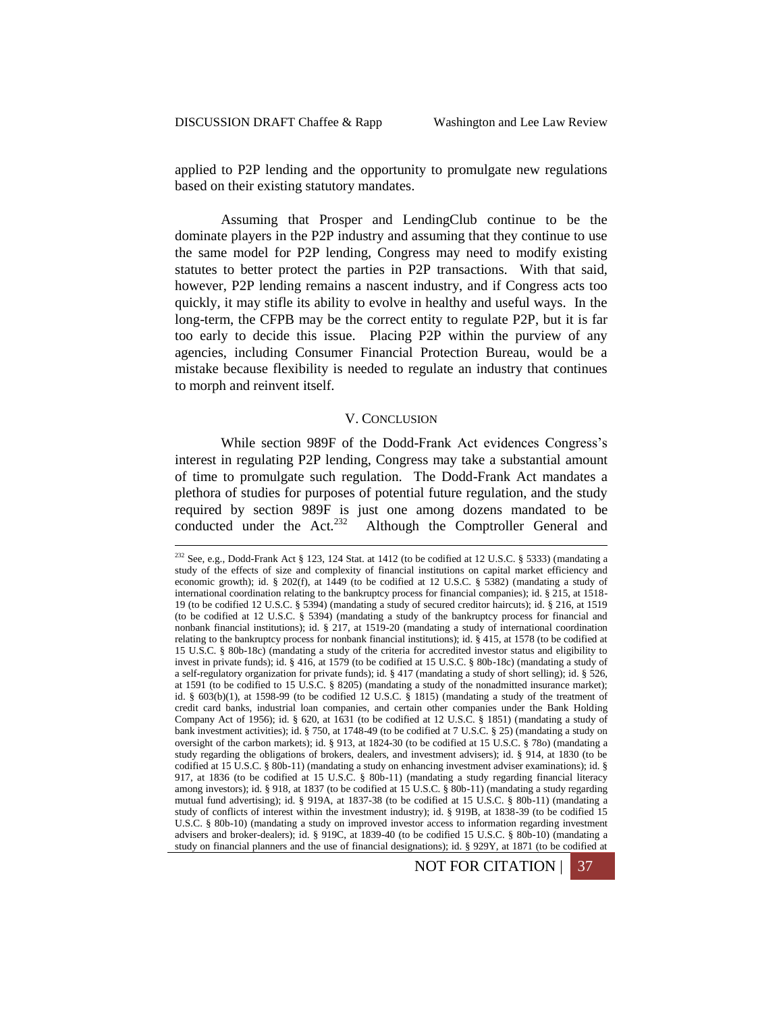1

applied to P2P lending and the opportunity to promulgate new regulations based on their existing statutory mandates.

Assuming that Prosper and LendingClub continue to be the dominate players in the P2P industry and assuming that they continue to use the same model for P2P lending, Congress may need to modify existing statutes to better protect the parties in P2P transactions. With that said, however, P2P lending remains a nascent industry, and if Congress acts too quickly, it may stifle its ability to evolve in healthy and useful ways. In the long-term, the CFPB may be the correct entity to regulate P2P, but it is far too early to decide this issue. Placing P2P within the purview of any agencies, including Consumer Financial Protection Bureau, would be a mistake because flexibility is needed to regulate an industry that continues to morph and reinvent itself.

#### V. CONCLUSION

While section 989F of the Dodd-Frank Act evidences Congress's interest in regulating P2P lending, Congress may take a substantial amount of time to promulgate such regulation. The Dodd-Frank Act mandates a plethora of studies for purposes of potential future regulation, and the study required by section 989F is just one among dozens mandated to be conducted under the  $Act.<sup>232</sup>$ Although the Comptroller General and

<sup>&</sup>lt;sup>232</sup> See, e.g., Dodd-Frank Act § 123, 124 Stat. at 1412 (to be codified at 12 U.S.C. § 5333) (mandating a study of the effects of size and complexity of financial institutions on capital market efficiency and economic growth); id. § 202(f), at 1449 (to be codified at 12 U.S.C. § 5382) (mandating a study of international coordination relating to the bankruptcy process for financial companies); id. § 215, at 1518- 19 (to be codified 12 U.S.C. § 5394) (mandating a study of secured creditor haircuts); id. § 216, at 1519 (to be codified at 12 U.S.C. § 5394) (mandating a study of the bankruptcy process for financial and nonbank financial institutions); id. § 217, at 1519-20 (mandating a study of international coordination relating to the bankruptcy process for nonbank financial institutions); id. § 415, at 1578 (to be codified at 15 U.S.C. § 80b-18c) (mandating a study of the criteria for accredited investor status and eligibility to invest in private funds); id. § 416, at 1579 (to be codified at 15 U.S.C. § 80b-18c) (mandating a study of a self-regulatory organization for private funds); id. § 417 (mandating a study of short selling); id. § 526, at 1591 (to be codified to 15 U.S.C. § 8205) (mandating a study of the nonadmitted insurance market); id. § 603(b)(1), at 1598-99 (to be codified 12 U.S.C. § 1815) (mandating a study of the treatment of credit card banks, industrial loan companies, and certain other companies under the Bank Holding Company Act of 1956); id. § 620, at 1631 (to be codified at 12 U.S.C. § 1851) (mandating a study of bank investment activities); id. § 750, at 1748-49 (to be codified at 7 U.S.C. § 25) (mandating a study on oversight of the carbon markets); id. § 913, at 1824-30 (to be codified at 15 U.S.C. § 78o) (mandating a study regarding the obligations of brokers, dealers, and investment advisers); id. § 914, at 1830 (to be codified at 15 U.S.C. § 80b-11) (mandating a study on enhancing investment adviser examinations); id. § 917, at 1836 (to be codified at 15 U.S.C. § 80b-11) (mandating a study regarding financial literacy among investors); id. § 918, at 1837 (to be codified at 15 U.S.C. § 80b-11) (mandating a study regarding mutual fund advertising); id. § 919A, at 1837-38 (to be codified at 15 U.S.C. § 80b-11) (mandating a study of conflicts of interest within the investment industry); id. § 919B, at 1838-39 (to be codified 15 U.S.C. § 80b-10) (mandating a study on improved investor access to information regarding investment advisers and broker-dealers); id. § 919C, at 1839-40 (to be codified 15 U.S.C. § 80b-10) (mandating a study on financial planners and the use of financial designations); id. § 929Y, at 1871 (to be codified at